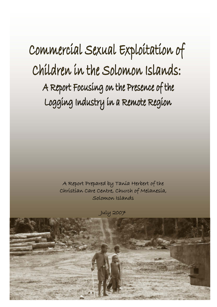Commercíal Sexual Exploitation of Children in the Solomon Islands: A Report Focusing on the Presence of the Logging Industry in a Remote Region

> A Report Prepared by Tania Herbert of the Christian Care Centre, Church of Melanesia, Solomon Islands

> > July 2007

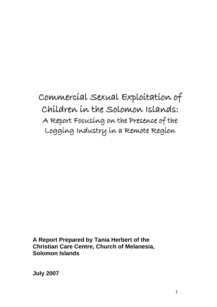Commercial Sexual Exploitation of Children in the Solomon Islands: A Report Focusing on the Presence of the Logging Industry in a Remote Region

**A Report Prepared by Tania Herbert of the Christian Care Centre, Church of Melanesia, Solomon Islands** 

**July 2007**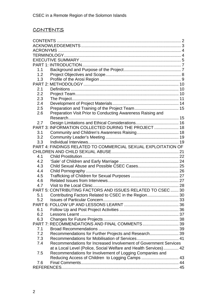# <span id="page-3-0"></span>CONTENTS

| 1.1 |                                                                  |  |
|-----|------------------------------------------------------------------|--|
| 1.2 |                                                                  |  |
| 1.3 |                                                                  |  |
|     |                                                                  |  |
| 2.1 |                                                                  |  |
| 2.2 |                                                                  |  |
| 2.3 |                                                                  |  |
| 2.4 |                                                                  |  |
| 2.5 |                                                                  |  |
| 2.6 | Preparation Visit Prior to Conducting Awareness Raising and      |  |
|     |                                                                  |  |
| 2.7 |                                                                  |  |
|     | PART 3: INFORMATION COLLECTED DURING THE PROJECT  18             |  |
| 3.1 |                                                                  |  |
| 3.2 |                                                                  |  |
| 3.3 |                                                                  |  |
|     | PART 4: FINDINGS RELATED TO COMMERCIAL SEXUAL EXPLOITATION OF    |  |
|     |                                                                  |  |
| 4.1 |                                                                  |  |
| 4.2 |                                                                  |  |
| 4.3 |                                                                  |  |
| 4.4 |                                                                  |  |
| 4.5 |                                                                  |  |
| 4.6 |                                                                  |  |
| 4.7 |                                                                  |  |
|     | PART 5: CONTRIBUTING FACTORS AND ISSUES RELATED TO CSEC  30      |  |
| 5.1 |                                                                  |  |
|     |                                                                  |  |
| 5.2 |                                                                  |  |
|     |                                                                  |  |
| 6.1 |                                                                  |  |
| 6.2 |                                                                  |  |
| 6.3 |                                                                  |  |
|     | PART 7: RECOMMENDATIONS AND FINAL COMMENTS 39                    |  |
| 7.1 |                                                                  |  |
| 7.2 | Recommendations for Further Projects and Research 39             |  |
| 7.3 |                                                                  |  |
| 7.4 | Recommendations for Increased Involvement of Government Services |  |
|     | at a Local Level (Police, Social Welfare and Health Services) 42 |  |
| 7.5 | Recommendations for Involvement of Logging Companies and         |  |
|     |                                                                  |  |
| 7.6 |                                                                  |  |
|     |                                                                  |  |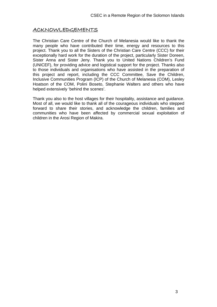# <span id="page-4-0"></span>**ACKNOWLEDGEMENTS**

The Christian Care Centre of the Church of Melanesia would like to thank the many people who have contributed their time, energy and resources to this project. Thank you to all the Sisters of the Christian Care Centre (CCC) for their exceptionally hard work for the duration of the project, particularly Sister Doreen, Sister Anna and Sister Jeny. Thank you to United Nations Children's Fund (UNICEF), for providing advice and logistical support for the project. Thanks also to those individuals and organisations who have assisted in the preparation of this project and report, including the CCC Committee, Save the Children, Inclusive Communities Program (ICP) of the Church of Melanesia (COM), Lesley Hoatson of the COM, Polini Boseto, Stephanie Walters and others who have helped extensively 'behind the scenes'.

Thank you also to the host villages for their hospitality, assistance and guidance. Most of all, we would like to thank all of the courageous individuals who stepped forward to share their stories, and acknowledge the children, families and communities who have been affected by commercial sexual exploitation of children in the Arosi Region of Makira.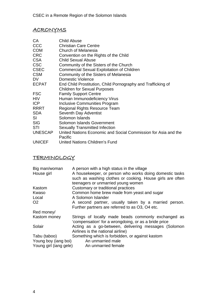# <span id="page-5-0"></span>ACRONYMS

| CA             | <b>Child Abuse</b>                                             |
|----------------|----------------------------------------------------------------|
| <b>CCC</b>     | <b>Christian Care Centre</b>                                   |
| <b>COM</b>     | Church of Melanesia                                            |
| <b>CRC</b>     | Convention on the Rights of the Child                          |
| <b>CSA</b>     | <b>Child Sexual Abuse</b>                                      |
| <b>CSC</b>     | Community of the Sisters of the Church                         |
| <b>CSEC</b>    | <b>Commercial Sexual Exploitation of Children</b>              |
| <b>CSM</b>     | Community of the Sisters of Melanesia                          |
| DV.            | <b>Domestic Violence</b>                                       |
| <b>ECPAT</b>   | End Child Prostitution, Child Pornography and Trafficking of   |
|                | <b>Children for Sexual Purposes</b>                            |
| <b>FSC</b>     | <b>Family Support Centre</b>                                   |
| <b>HIV</b>     | Human Immunodeficiency Virus                                   |
| <b>ICP</b>     | <b>Inclusive Communities Program</b>                           |
| <b>RRRT</b>    | <b>Regional Rights Resource Team</b>                           |
| <b>SDA</b>     | Seventh Day Adventist                                          |
| SI             | Solomon Islands                                                |
| <b>SIG</b>     | Solomon Islands Government                                     |
| <b>STI</b>     | <b>Sexually Transmitted Infection</b>                          |
| <b>UNESCAP</b> | United Nations Economic and Social Commission for Asia and the |
|                | Pacific                                                        |
| <b>UNICEF</b>  | United Nations Children's Fund                                 |

# **TERMINOLOGY**

| A person with a high status in the village<br>A housekeeper, or person who works doing domestic tasks<br>such as washing clothes or cooking. House girls are often<br>teenagers or unmarried young women |
|----------------------------------------------------------------------------------------------------------------------------------------------------------------------------------------------------------|
| Customary or traditional practices                                                                                                                                                                       |
| Common home brew made from yeast and sugar                                                                                                                                                               |
| A Solomon Islander                                                                                                                                                                                       |
| A second partner, usually taken by a married person.                                                                                                                                                     |
| Further partners are referred to as O3, O4 etc.                                                                                                                                                          |
|                                                                                                                                                                                                          |
| Strings of locally made beads commonly exchanged as<br>'compensation' for a wrongdoing, or as a bride price                                                                                              |
| Acting as a go-between, delivering messages (Solomon                                                                                                                                                     |
| Airlines is the national airline)                                                                                                                                                                        |
| Something which is forbidden, or against kastom                                                                                                                                                          |
| Young boy (iang boi)<br>An unmarried male                                                                                                                                                                |
| Young girl (iang gele)<br>An unmarried female                                                                                                                                                            |
|                                                                                                                                                                                                          |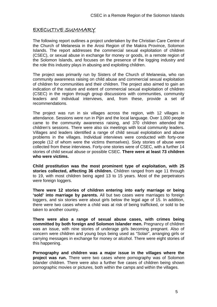# <span id="page-6-0"></span>EXECUTIVE SUMMARY

The following report outlines a project undertaken by the Christian Care Centre of the Church of Melanesia in the Arosi Region of the Makira Province, Solomon Islands. The report addresses the commercial sexual exploitation of children (CSEC), or sexual abuse in exchange for money or goods, in a remote region of the Solomon Islands, and focuses on the presence of the logging industry and the role this industry plays in abusing and exploiting children.

The project was primarily run by Sisters of the Church of Melanesia, who ran community awareness raising on child abuse and commercial sexual exploitation of children for communities and their children. The project also aimed to gain an indication of the nature and extent of commercial sexual exploitation of children (CSEC) in the region through group discussions with communities, community leaders and individual interviews, and, from these, provide a set of recommendations.

The project was run in six villages across the region, with 12 villages in attendance. Sessions were run in Pijin and the local language. Over 1,000 people came to the community awareness raising, and 370 children attended the children's sessions. There were also six meetings with local community leaders. Villages and leaders identified a range of child sexual exploitation and abuse problems in the villages. Individual interviews were conducted with forty-one people (12 of whom were the victims themselves). Sixty stories of abuse were collected from these interviews. Forty-one stories were of CSEC, with a further 14 stories of child sexual abuse or possible CSEC. **There were at least 73 children who were victims.** 

**Child prostitution was the most prominent type of exploitation, with 25 stories collected, affecting 36 children.** Children ranged from age 11 through to 19, with most children being aged 13 to 15 years. Most of the perpetrators were foreign loggers.

**There were 12 stories of children entering into early marriage or being 'sold' into marriage by parents.** All but two cases were marriages to foreign loggers, and six stories were about girls below the legal age of 15. In addition, there were two cases where a child was at risk of being trafficked, or sold to be taken to another country.

**There were also a range of sexual abuse cases, with crimes being committed by both foreign and Solomon Islander men.** Pregnancy of children was an issue, with nine stories of underage girls becoming pregnant. Also of concern were children and young boys being used as "Solair", arranging girls or carrying messages in exchange for money or alcohol. There were eight stories of this happening.

**Pornography and children was a major issue in the villages where the project was run.** There were two cases where pornography was of Solomon Islander children. There were also a further five cases of children being shown pornographic movies or pictures, both within the camps and within the villages.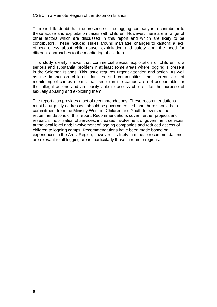There is little doubt that the presence of the logging company is a contributor to these abuse and exploitation cases with children. However, there are a range of other factors which are discussed in this report and which are likely to be contributors. These include: issues around marriage; changes to kastom; a lack of awareness about child abuse, exploitation and safety and; the need for different approaches to the monitoring of children.

This study clearly shows that commercial sexual exploitation of children is a serious and substantial problem in at least some areas where logging is present in the Solomon Islands. This issue requires urgent attention and action. As well as the impact on children, families and communities, the current lack of monitoring of camps means that people in the camps are not accountable for their illegal actions and are easily able to access children for the purpose of sexually abusing and exploiting them.

The report also provides a set of recommendations. These recommendations must be urgently addressed, should be government led, and there should be a commitment from the Ministry Women, Children and Youth to oversee the recommendations of this report. Recommendations cover: further projects and research; mobilisation of services; increased involvement of government services at the local level and; involvement of logging companies and reduced access of children to logging camps. Recommendations have been made based on experiences in the Arosi Region, however it is likely that these recommendations are relevant to all logging areas, particularly those in remote regions.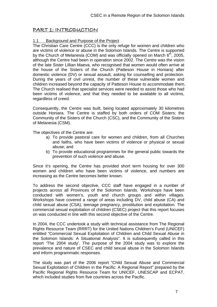## <span id="page-8-0"></span>PART 1: INTRODUCTION

#### 1.1 Background and Purpose of the Project

The Christian Care Centre (CCC) is the only refuge for women and children who are victims of violence or abuse in the Solomon Islands. The Centre is supported by the Church of Melanesia (COM) and was officially opened on March  $6<sup>th</sup>$ , 2005, although the Centre had been in operation since 2002. The Centre was the vision of the late Sister Lillian Maeva, who recognised that women would often arrive at the house of the Sisters of the Church (Patteson House in Honiara) after domestic violence (DV) or sexual assault, asking for counselling and protection. During the years of civil unrest, the number of these vulnerable women and children increased beyond the capacity of Patteson House to accommodate them. The Church realised that specialist services were needed to assist those who had been victims of violence, and that they needed to be available to all victims, regardless of creed.

Consequently, the Centre was built, being located approximately 30 kilometres outside Honiara. The Centre is staffed by both orders of COM Sisters; the Community of the Sisters of the Church (CSC), and the Community of the Sisters of Melanesia (CSM).

The objectives of the Centre are:

- a) To provide pastoral care for women and children, from all Churches and faiths, who have been victims of violence or physical or sexual abuse; and
- b) To provide educational programmes for the general public towards the prevention of such violence and abuse.

Since it's opening, the Centre has provided short term housing for over 300 women and children who have been victims of violence, and numbers are increasing as the Centre becomes better known.

To address the second objective, CCC staff have engaged in a number of projects across all Provinces of the Solomon Islands. Workshops have been conducted with women's, youth and church groups and within villages. Workshops have covered a range of areas including DV, child abuse (CA) and child sexual abuse (CSA), teenage pregnancy, prostitution and exploitation. The commercial sexual exploitation of children (CSEC) project that this report focuses on was conducted in line with this second objective of the Centre.

In 2004, the CCC undertook a study with technical assistance from The Regional Rights Resource Team (RRRT) for the United Nations Children's Fund (UNICEF) entitled "Commercial Sexual Exploitation of Children and Child Sexual Abuse in the Solomon Islands: A Situational Analysis". It is subsequently called in this report 'The 2004 study'. The purpose of the 2004 study was to explore the prevalence and nature of CSEC and child sexual abuse in the Solomon Islands and inform programmatic responses.

The study was part of the 2006 report "Child Sexual Abuse and Commercial Sexual Exploitation of Children in the Pacific: A Regional Report" prepared by the Pacific Regional Rights Resource Team for UNICEF, UNESCAP and ECPAT, which included studies from five countries across the Pacific.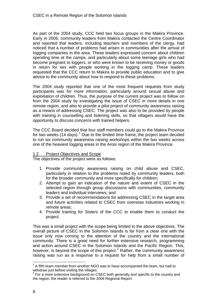<span id="page-9-0"></span>As part of the 2004 study, CCC held two focus groups in the Makira Province. Early in 2006, community leaders from Makira contacted the Centre Coordinator and reported that leaders, including teachers and members of the clergy, had noticed that a number of problems had arisen in communities after the arrival of logging companies in the area. These leaders expressed concern about children spending time at the camps, and particularly about some teenage girls who had become pregnant to loggers, or who were known to be receiving money or goods in return for sex with people working in the logging camp. These leaders requested that the CCC return to Makira to provide public education and to give advice to the community about how to respond to these problems.

The 2004 study reported that one of the most frequent requests from study participants was for more information, particularly around sexual abuse and exploitation of children. Thus, the purpose of the current project was to follow on from the 2004 study by investigating the issue of CSEC in more details in one remote region, and also to provide a pilot project of community awareness raising as a means of addressing CSEC. The project was also to be provided by people with training in counselling and listening skills, so that villagers would have the opportunity to discuss concerns with trained helpers.

The CCC Board decided that four staff members could go to the Makira Province for two weeks ([1](#page-9-0)4 days).<sup>1</sup> Due to the limited time frame, the project team decided to run six community awareness raising workshops within the two weeks across one of the heaviest logging areas in the Arosi region of the Makira Province.

#### Project Objectives and Scope

The objectives of the project were as follows:

- 1. Provide community awareness raising on child abuse and CSEC, particularly in relation to the problems noted by community leaders, both for the broader community and more specifically for children;
- 2. Attempt to gain an indication of the nature and extent of CSEC in the selected region through group discussions with communities, community leaders and individual interviews; and
- 3. Provide a set of recommendations for addressing CSEC in the target area and future activities related to CSEC from overseas industries working in remote areas;
- 4. Provide training for Sisters of the CCC to enable them to conduct the project.

This was a small project with the scope being limited to the above objectives. The overall picture of CSEC in the Solomon Islands is far from a clear one with the issue only now coming to the attention of the country and the international community. There is a great need for further extensive research, programming and action around CSEC in the Solomon Islands and the Pacific Region. This, however, is beyond the scope of this project.<sup>[2](#page-9-0)</sup> Rather, the community awareness raising was run as a response to a request for help from a small number of

 $1$  A fifth team member from another NGO was to have accompanied the team, but had to withdraw just before visiting the villages.

 $2^{2}$  For a more extensive background on CSEC both generally and specific to the country and the region, the reader is referred to the 2006 Regional Report.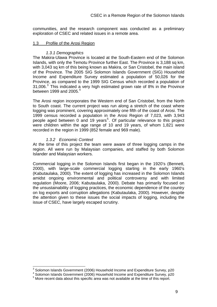<span id="page-10-0"></span>communities, and the research component was conducted as a preliminary exploration of CSEC and related issues in a remote area.

#### 1.3 Profile of the Arosi Region

#### *1.3.1 Demographics*

The Makira-Ulawa Province is located at the South-Eastern end of the Solomon Islands, with only the Temotu Province further East. The Province is 3.188 sq km. with 3,043 sq km of this being known as Makira, or San Cristobel, the main island of the Province. The 2005 SIG Solomon Islands Government (SIG) Household Income and Expenditure Survey estimated a population of 50,026 for the Province, as compared to the 1999 SIG Census which recorded a population of [3](#page-10-0)1,006. $3$  This indicated a very high estimated grown rate of 8% in the Province between 1999 and 2005. $4$ 

The Arosi region incorporates the Western end of San Cristobel, from the North to South coast. The current project was run along a stretch of the coast where logging was prominent, covering approximately one fifth of the coast of Arosi. The 1999 census recorded a population in the Arosi Region of 7,023, with 3,943 people aged between 0 and 19 years<sup>[5](#page-10-0)</sup>. Of particular relevance to this project were children within the age range of 10 and 19 years, of whom 1,821 were recorded in the region in 1999 (852 female and 969 male).

#### *1.3.2 Economic Context*

At the time of this project the team were aware of three logging camps in the region. All were run by Malaysian companies, and staffed by both Solomon Islander and Malaysian workers.

Commercial logging in the Solomon Islands first began in the 1920's (Bennett, 2000), with large-scale commercial logging starting in the early 1960's (Kabutaulaka, 2000). The extent of logging has increased in the Solomon Islands amidst ongoing environmental and political controversy and with limited regulation (Moore, 2006; Kabutaulaka, 2000). Debate has primarily focused on the unsustainability of logging practices, the economic dependence of the country on log exports and corruption allegations (Kabutaulaka, 2000). However, despite the attention given to these issues the social impacts of logging, including the issue of CSEC, have largely escaped scrutiny.

 3 Solomon Islands Government (2006) Household Income and Expenditure Survey, p20

<sup>&</sup>lt;sup>4</sup> Solomon Islands Government (2006) Household Income and Expenditure Survey, p20

 $5$  More recent data about this specific area was not available at the time of this report.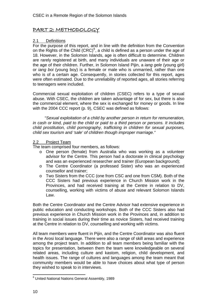# <span id="page-11-0"></span>PART 2: METHODOLOGY

#### 2.1 Definitions

For the purpose of this report, and in line with the definition from the Convention on the Rights of the Child  $(CRC)^6$  $(CRC)^6$ , a child is defined as a person under the age of 18. However, in the Solomon Islands, age is often difficult to determine. Children are rarely registered at birth, and many individuals are unaware of their age or the age of their children. Further, in Solomon Island Pijin, a *iang gele* (young girl) or *iang boi* (young boy) is a female or male who is unmarried, rather than one who is of a certain age. Consequently, in stories collected for this report, ages were often estimated. Due to the unreliability of reported ages, all stories referring to teenagers were included.

Commercial sexual exploitation of children (CSEC) refers to a type of sexual abuse. With CSEC, the children are taken advantage of for sex, but there is also the commercial element, where the sex is exchanged for money or goods. In line with the 2004 CCC report (p. 9), CSEC was defined as follows:

 "*Sexual exploitation of a child by another person in return for remuneration, in cash or kind, paid to the child or paid to a third person or persons. It includes child prostitution, child pornography, trafficking in children for sexual purposes, child sex tourism and 'sale' of children though improper marriage."* 

#### 2.2 Project Team

The team comprised four members, as follows:

- o One person (female) from Australia who was working as a volunteer advisor for the Centre. This person had a doctorate in clinical psychology and was an experienced researcher and trainer (European background);
- o The Centre Coordinator (a professed Sister) who was an experienced counsellor and trainer;
- o Two Sisters from the CCC (one from CSC and one from CSM). Both of the CCC Sisters had previous experience in Church Mission work in the Provinces, and had received training at the Centre in relation to DV, counselling, working with victims of abuse and relevant Solomon Islands Law.

Both the Centre Coordinator and the Centre Advisor had extensive experience in public education and conducting workshops. Both of the CCC Sisters also had previous experience in Church Mission work in the Provinces and, in addition to training in social issues during their time as novice Sisters, had received training at the Centre in relation to DV, counselling and working with victims.

All team members were fluent in Pijin, and the Centre Coordinator was also fluent in the Arosi local language. There were also a range of skill areas and experience among the project team. In addition to all team members being familiar with the topics for presentation, between them the team were knowledgeable on several related areas, including culture and kastom, religion, child development, and health issues. The range of cultures and languages among the team meant that community members would be able to have choices about what type of person they wished to speak to in interviews.

 6 United National Nations General Assembly, 1989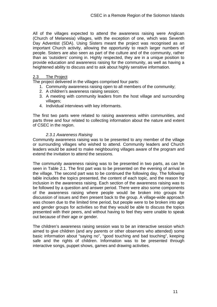<span id="page-12-0"></span>All of the villages expected to attend the awareness raising were Anglican (Church of Melanesia) villages, with the exception of one, which was Seventh Day Adventist (SDA). Using Sisters meant the project was recognised as an important Church activity, allowing the opportunity to reach larger numbers of people. Sisters are also seen as part of the culture and of the community, rather than as 'outsiders' coming in. Highly respected, they are in a unique position to provide education and awareness raising for the community, as well as having a heightened ability to discuss and to ask about highly sensitive information.

#### 2.3 The Project

The project delivered in the villages comprised four parts:

- 1. Community awareness raising open to all members of the community;
- 2. A children's awareness raising session;
- 3. A meeting with community leaders from the host village and surrounding villages;
- 4. Individual interviews with key informants.

The first two parts were related to raising awareness within communities, and parts three and four related to collecting information about the nature and extent of CSEC in the region.

#### *2.3.1 Awareness Raising*

Community awareness raising was to be presented to any member of the village or surrounding villages who wished to attend. Community leaders and Church leaders would be asked to make neighbouring villages aware of the program and extend the invitation to attend the sessions.

The community awareness raising was to be presented in two parts, as can be seen in Table 2.1. The first part was to be presented on the evening of arrival in the village. The second part was to be continued the following day. The following table includes the topics presented, the content of each topic, and the reason for inclusion in the awareness raising. Each section of the awareness raising was to be followed by a question and answer period. There were also some components of the awareness raising where people would be broken into groups for discussion of issues and then present back to the group. A village-wide approach was chosen due to the limited time period, but people were to be broken into age and gender groups for activities so that they would be able to discuss the topics presented with their peers, and without having to feel they were unable to speak out because of their age or gender.

The children's awareness raising session was to be an interactive session which aimed to give children (and any parents or other observers who attended) some basic information about "saying no", "good touching and bad touching", keeping safe and the rights of children. Information was to be presented through interactive songs, puppet shows, games and drawing activities.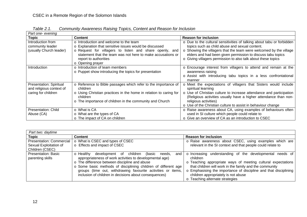| Part one- evening                                                                 |                                                                                                                                                                                                                                                           |                                                                                                                                                                                                                                                                                                                                         |  |  |
|-----------------------------------------------------------------------------------|-----------------------------------------------------------------------------------------------------------------------------------------------------------------------------------------------------------------------------------------------------------|-----------------------------------------------------------------------------------------------------------------------------------------------------------------------------------------------------------------------------------------------------------------------------------------------------------------------------------------|--|--|
| <b>Topic</b>                                                                      | <b>Content</b>                                                                                                                                                                                                                                            | <b>Reason for inclusion</b>                                                                                                                                                                                                                                                                                                             |  |  |
| Introduction from<br>community leader<br>(usually Church leader)                  | $\circ$ Introduction and welcome to the team<br>o Explanation that sensitive issues would be discussed<br>o Request for villagers to listen and share openly, and<br>statement that the team was not here to make accusations or<br>report to authorities | o Due to the cultural sensitivities of talking about tabu or forbidden<br>topics such as child abuse and sexual content.<br>Showing the villagers that the team were welcomed by the village<br>$\circ$<br>elders and had been given permission to discuss tabu topics<br>o Giving villagers permission to also talk about these topics |  |  |
| Introduction                                                                      | o Opening prayer<br>o Introduction of team members<br>o Puppet show introducing the topics for presentation                                                                                                                                               | o Encourage interest from villagers to attend and remain at the<br>awareness raising<br>o Assist with introducing tabu topics in a less confrontational<br>manner                                                                                                                                                                       |  |  |
| <b>Presentation: Spiritual</b><br>and religious context of<br>caring for children | o Reference to Bible passages which refer to the importance of<br>children<br>o Using Christian practices in the home in relation to caring for<br>children<br>o The importance of children in the community and Church                                   | Meet the expectations of villagers that Sisters would include<br>spiritual learning<br>Use of Christian culture to increase attendance and participation<br>$\circ$<br>(Religious activities usually have a higher attendance than non-<br>religious activities)<br>o Use of the Christian culture to assist in behaviour change        |  |  |
| <b>Presentation: Child</b><br>Abuse (CA)                                          | ○ What is CA<br>o What are the types of CA<br>o The impact of CA on children                                                                                                                                                                              | o Raise awareness about CA, using examples of behaviours often<br>used in SI culture which people could relate to<br>○ Give an overview of CA as an introduction to CSEC                                                                                                                                                                |  |  |

*Table 2.1. Community Awareness Raising Topics, Content and Reason for Inclusion* 

| Part two: daytime               |                                                                    |                                                                  |
|---------------------------------|--------------------------------------------------------------------|------------------------------------------------------------------|
| <b>Topic</b>                    | <b>Content</b>                                                     | <b>Reason for inclusion</b>                                      |
| <b>Presentation: Commercial</b> | o What is CSEC and types of CSEC                                   | o Raise awareness about CSEC, using examples which are           |
| Sexual Exploitation of          | Effects and impact of CSEC                                         | relevant in the SI context and that people could relate to       |
| Children (CSEC)                 |                                                                    |                                                                  |
| <b>Presentation: Basic</b>      | children<br>o Healthy<br>development of<br>(basic<br>and<br>needs. | o Increasing understanding of the developmental needs of         |
| parenting skills                | appropriateness of work activities to developmental age)           | children                                                         |
|                                 | o The difference between discipline and abuse                      | o Teaching appropriate ways of meeting cultural expectations     |
|                                 | o Some basic methods of disciplining children of different age     | that children will work in the family and the community          |
|                                 | groups (time out, withdrawing favourite activities or items,       | o Emphasising the importance of discipline and that disciplining |
|                                 | inclusion of children in decisions about consequences)             | children appropriately is not abuse                              |
|                                 |                                                                    | Teaching alternate strategies                                    |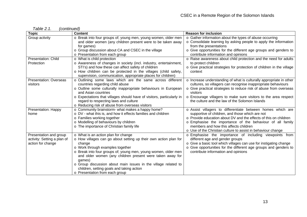| <b>Topic</b>                                                               | <b>Content</b>                                                                                                                                                                                                                                                                                                                                                                                                                                  | <b>Reason for inclusion</b>                                                                                                                                                                                                                                                                                                                              |
|----------------------------------------------------------------------------|-------------------------------------------------------------------------------------------------------------------------------------------------------------------------------------------------------------------------------------------------------------------------------------------------------------------------------------------------------------------------------------------------------------------------------------------------|----------------------------------------------------------------------------------------------------------------------------------------------------------------------------------------------------------------------------------------------------------------------------------------------------------------------------------------------------------|
| Group activity                                                             | o Break into four groups of; young men, young women, older men<br>and older women (any children present were to be taken away<br>for games)<br>o Group discussion about CA and CSEC in the village<br>o Presentation from each group                                                                                                                                                                                                            | o Gather information about the types of abuse occurring<br>o Consolidate learning by asking people to apply the information<br>from the presentations<br>o Give opportunities for the different age groups and genders to<br>contribute information and opinions                                                                                         |
| <b>Presentation: Child</b>                                                 | o What is child protection                                                                                                                                                                                                                                                                                                                                                                                                                      | o Raise awareness about child protection and the need for adults                                                                                                                                                                                                                                                                                         |
| Protection                                                                 | o Awareness of changes in society (incl. industry, entertainment,<br>STI's) and how these can affect safety of children<br>o How children can be protected in the villages (child safety,<br>supervision, communication, appropriate places for children)                                                                                                                                                                                       | to protect children<br>o Give practical strategies for protection of children in the village<br>context                                                                                                                                                                                                                                                  |
| <b>Presentation: Overseas</b><br>visitors                                  | o Outlining some laws which are the same across different<br>countries regarding child abuse<br>o Outline some culturally inappropriate behaviours in European<br>and Asian countries<br>o Expectations that villages should have of visitors, particularly in<br>regard to respecting laws and culture<br>o Reducing risk of abuse from overseas visitors                                                                                      | o Increase understanding of what is culturally appropriate in other<br>cultures, so villagers can recognise inappropriate behaviours<br>o Give practical strategies to reduce risk of abuse from overseas<br>visitors<br>o Encourage villagers to make sure visitors to the area respect<br>the culture and the law of the Solomon Islands               |
| Presentation: Happy<br>home                                                | o Community brainstorm- what makes a happy home?<br>o DV - what this is, and how it effects families and children<br>o Families working together<br>o Modelling of behaviours by children<br>o The importance of Christian family life                                                                                                                                                                                                          | o Assist villagers to differentiate between homes which are<br>supportive of children, and those which are not<br>o Provide education about DV and the effects of this on children<br>o Emphasise the importance of the behaviour of all family<br>members and how this affects children<br>o Use of the Christian culture to assist in behaviour change |
| Presentation and group<br>activity: Setting a plan of<br>action for change | o What is an action plan for change<br>o How villages can go about setting up their own action plan for<br>change<br>o Work through examples together<br>o Break into four groups of; young men, young women, older men<br>and older women (any children present were taken away for<br>games)<br>o Group discussion about main issues in the village related to<br>children, setting goals and taking action<br>o Presentation from each group | o Emphasise the importance of including viewpoints from<br>different age and gender groups<br>o Give a basic tool which villages can use for instigating change<br>o Give opportunities for the different age groups and genders to<br>contribute information and opinions                                                                               |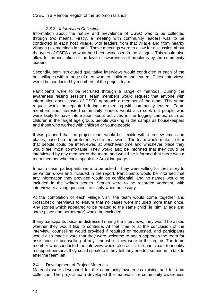#### *2.3.2 Information Collection*

<span id="page-15-0"></span>Information about the nature and prevalence of CSEC was to be collected through two means. Firstly, a meeting with community leaders was to be conducted in each host village, with leaders from that village and from nearby villages (six meetings in total). These meetings were to allow for discussion about the types of CSEC and what had been witnessed in the villages. This would also allow for an indication of the level of awareness of problems by the community leaders.

Secondly, semi structured qualitative interviews would conducted in each of the host villages with a range of men, women, children and leaders. These interviews would be conducted by members of the project team.

Participants were to be recruited through a range of methods. During the awareness raising sessions, team members would request that anyone with information about cases of CSEC approach a member of the team. This same request would be repeated during the meeting with community leaders. Team members and interested community leaders would also seek out people who were likely to have information about activities in the logging camps, such as children in the target age group, people working in the camps as housekeepers and those who worked with children or young people.

It was planned that the project team would be flexible with interview times and places, based on the preferences of interviewees. The team would make it clear that people could be interviewed at whichever time and whichever place they would feel most comfortable. They would also be informed that they could be interviewed by any member of the team, and would be informed that there was a team member who could speak the Arosi language.

In each case, participants were to be asked if they were willing for their story to be written down and included in the report. Participants would be informed that any information they provided would be confidential, and no names would be included in the written stories. Stories were to be recorded verbatim, with interviewers asking questions to clarify when necessary.

At the completion of each village visit, the team would come together and crosscheck interviews to ensure that no cases were included more than once. Any stories which appeared to be related to the same child (ie, similar age and same place and perpetrator) would be excluded.

If any participants became distressed during the interviews, they would be asked whether they would like to continue. At that time or at the conclusion of the interview, counselling would provided if required or requested, and participants would also made aware that they were welcome to again approach the team for assistance or counselling at any time whilst they were in the region. The team member who conducted the interview would also assist the participant to identify a support person/s they could speak to if they felt they needed someone to talk to after the team left.

## 2.4 Development of Project Materials

Materials were developed for the community awareness raising and for data collection. The project team developed the materials for community awareness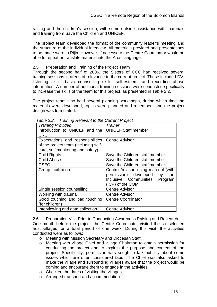<span id="page-16-0"></span>raising and the children's session, with some outside assistance with materials and training from Save the Children and UNICEF.

The project team developed the format of the community leader's meeting and the structure of the individual interview. All materials provided and presentations to be made were in Pijin. However, if necessary the Centre Coordinator would be able to repeat or translate material into the Arosi language.

#### 2.5 Preparation and Training of the Project Team

Through the second half of 2006, the Sisters of CCC had received several training sessions in areas of relevance to the current project. These included DV, listening skills, basic counselling skills, self-esteem, and recording abuse information. A number of additional training sessions were conducted specifically to increase the skills of the team for this project, as presented in Table 2.2.

The project team also held several planning workshops, during which time the materials were developed, topics were planned and rehearsed, and the project design was formulated.

| <b>Training Provided</b>                             | Trainer                              |
|------------------------------------------------------|--------------------------------------|
| Introduction to UNICEF and the   UNICEF Staff member |                                      |
| CRC                                                  |                                      |
| Expectations and responsibilities                    | <b>Centre Advisor</b>                |
| of the project team (including self-                 |                                      |
| care, self monitoring and safety)                    |                                      |
| <b>Child Rights</b>                                  | Save the Children staff member       |
| <b>Child Abuse</b>                                   | Save the Children staff member       |
| <b>CSEC</b>                                          | Save the Children staff member       |
| Group facilitation                                   | Centre Advisor, using material (with |
|                                                      | permission) developed<br>by<br>the   |
|                                                      | Inclusive Communities Program        |
|                                                      | (ICP) of the COM                     |
| Single session counselling                           | <b>Centre Advisor</b>                |
| Working with trauma                                  | <b>Centre Advisor</b>                |
| Good touching and bad touching                       | <b>Centre Coordinator</b>            |
| (for children)                                       |                                      |
| Interviewing and data collection                     | <b>Centre Advisor</b>                |

 *Table 2.2. Training Relevant to the Current Project* 

#### 2.6 Preparation Visit Prior to Conducting Awareness Raising and Research

One month before the project, the Centre Coordinator visited the six selected host villages for a total period of one week. During this visit, the activities conducted were as follows:

- o Meeting with Mission Secretary and Diocesan Staff;
- o Meeting with village Chief and village Chairman to obtain permission for conducting the project and to explain the purpose and content of the project. Specifically, permission was sough to talk publicly about some issues which are often considered tabu. The Chief was also asked to make the village and surrounding villages aware that the project would be coming and encourage them to engage in the activities;
- o Checked the dates of visiting the villages;
- o Arranged transport and accommodation.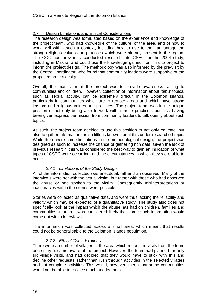## <span id="page-17-0"></span>2.7 Design Limitations and Ethical Considerations

The research design was formulated based on the experience and knowledge of the project team, who had knowledge of the culture, of the area, and of how to work well within such a context, including how to use to their advantage the strong religious values and practices which were already present in the region. The CCC had previously conducted research into CSEC for the 2004 study, including in Makira, and could use the knowledge gained from this to project to inform the project design. The methodology was also informed by the pre-visit by the Centre Coordinator, who found that community leaders were supportive of the proposed project design.

Overall, the main aim of the project was to provide awareness raising to communities and children. However, collection of information about 'tabu' topics, such as sexual activity, can be extremely difficult in the Solomon Islands, particularly in communities which are in remote areas and which have strong kastom and religious values and practices. The project team was in the unique position of not only being able to work within these practices, but also having been given express permission from community leaders to talk openly about such topics.

As such, the project team decided to use this position to not only educate, but also to gather information, as so little is known about this under-researched topic. While there were some limitations in the methodological design, the project was designed as such to increase the chance of gathering rich data. Given the lack of previous research, this was considered the best way to gain an indication of what types of CSEC were occurring, and the circumstances in which they were able to occur.

## *2.7.1 Limitations of the Study Design*

All of the information collected was anecdotal, rather than observed. Many of the interviews were not with the actual victim, but rather with those who had observed the abuse or had spoken to the victim. Consequently misinterpretations or inaccuracies within the stories were possible.

Stories were collected as qualitative data, and were thus lacking the reliability and validity which may be expected of a quantitative study. The study also does not specifically look at the impact which the abuse has had on children, families and communities, though it was considered likely that some such information would come out within interviews.

The information was collected across a small area, which meant that results could not be generalisable to the Solomon Islands population.

## *2.7.2 Ethical Considerations*

There were a number of villages in the area which requested visits from the team once they became aware of the project. However, the team had planned for only six village visits, and had decided that they would have to stick with this and decline other requests, rather than rush through activities in the selected villages and not complete activities. This would, however, mean that some communities would not be able to receive much needed help.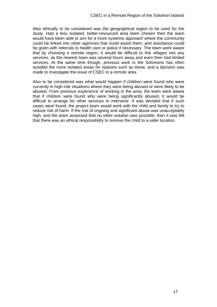Also ethically to be considered was the geographical region to be used for the study. Had a less isolated, better-resourced area been chosen then the team would have been able to aim for a more systemic approach where the community could be linked into other agencies that could assist them, and assistance could be given with referrals to health care or police if necessary. The team were aware that by choosing a remote region, it would be difficult to link villages into any services, as the nearest town was several hours away and even then had limited services. At the same time though, previous work in the Solomons has often avoided the more isolated areas for reasons such as these, and a decision was made to investigate the issue of CSEC in a remote area.

Also to be considered was what would happen if children were found who were currently in high-risk situations where they were being abused or were likely to be abused. From previous experience of working in the area, the team were aware that if children were found who were being significantly abused, it would be difficult to arrange for other services to intervene. It was decided that if such cases were found, the project team would work with the child and family to try to reduce risk of harm. If the risk of ongoing and significant abuse was unacceptably high, and the team assessed that no other solution was possible, then it was felt that there was an ethical responsibility to remove the child to a safer location.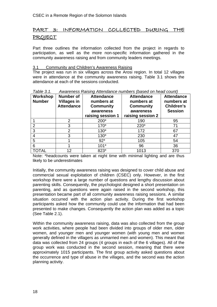# <span id="page-19-0"></span>PART 3: INFORMATION COLLECTED DURING THE PROJECT

Part three outlines the information collected from the project in regards to participation, as well as the more non-specific information gathered in the community awareness raising and from community leaders meetings.

## 3.1 Community and Children's Awareness Raising

The project was run in six villages across the Arosi region. In total 12 villages were in attendance at the community awareness raising. Table 3.1 shows the attendance at each of the sessions conducted.

| Workshop<br><b>Number</b> | <b>Number of</b><br><b>Villages in</b><br><b>Attendance</b> | <b>Attendance</b><br>numbers at<br><b>Community</b><br>awareness<br>raising session 1 | <b>Attendance</b><br>numbers at<br><b>Community</b><br>awareness<br>raising session 2 | <b>Attendance</b><br>numbers at<br>Children's<br><b>Session</b> |
|---------------------------|-------------------------------------------------------------|---------------------------------------------------------------------------------------|---------------------------------------------------------------------------------------|-----------------------------------------------------------------|
|                           | 2                                                           | 200*                                                                                  | 190                                                                                   | 95                                                              |
|                           | 3                                                           | $170*$                                                                                | 220*                                                                                  | 71                                                              |
| 3                         | 2                                                           | $130*$                                                                                | 172                                                                                   | 67                                                              |
|                           | 3                                                           | $130*$                                                                                | 230                                                                                   | 47                                                              |
| 5                         |                                                             | $92*$                                                                                 | 105                                                                                   | 54                                                              |
| 6                         |                                                             | $101*$                                                                                | 96                                                                                    | 36                                                              |
| TOTAL                     | 12                                                          | 823*                                                                                  | 1013                                                                                  | 370                                                             |

#### *Table 3.1. Awareness Raising Attendance numbers (based on head count)*

Note: \*headcounts were taken at night time with minimal lighting and are thus likely to be underestimates

Initially, the community awareness raising was designed to cover child abuse and commercial sexual exploitation of children (CSEC) only. However, in the first workshop there were a large number of questions and lengthy discussion about parenting skills. Consequently, the psychologist designed a short presentation on parenting, and as questions were again raised in the second workshop, this presentation became part of all community awareness raising sessions. A similar situation occurred with the action plan activity. During the first workshop participants asked how the community could use the information that had been presented to make changes. Consequently the action plan was added as a topic (See Table 2.1).

Within the community awareness raising, data was also collected from the group work activities, where people had been divided into groups of older men, older women, and younger men and younger women (with young men and women generally defined in the villagers as unmarried men and women). This meant that data was collected from 24 groups (4 groups in each of the 6 villages). All of the group work was conducted in the second session, meaning that there were approximately 1015 participants. The first group activity asked questions about the occurrence and type of abuse in the villages, and the second was the action planning activity.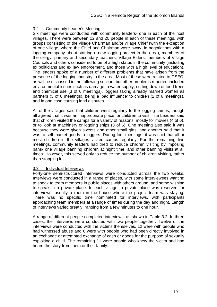## <span id="page-20-0"></span>3.2 Community Leader's Meeting

Six meetings were conducted with community leaders- one in each of the host villages. There were between 12 and 20 people in each of these meetings, with groups consisting of the village Chairman and/or village Chief (with the exception of one village, where the Chief and Chairman were away, in negotiations with a logging company about starting a new logging project in the area), members of the clergy, primary and secondary teachers, Village Elders, members of Village Councils and others considered to be of a high status in the community (including ex politicians and ex law enforcement, and those with a high level of education). The leaders spoke of a number of different problems that have arisen from the presence of the logging industry in the area. Most of these were related to CSEC, as will be discussed in the following section, but other problems reported included environmental issues such as damage to water supply, cutting down of food trees and chemical use (3 of 6 meetings), loggers taking already married women as partners (3 of 6 meetings), being a 'bad influence' to children (2 of 6 meetings), and in one case causing land disputes.

All of the villages said that children went regularly to the logging camps, though all agreed that it was an inappropriate place for children to visit. The Leaders said that children visited the camps for a variety of reasons, mostly for movies (4 of 6), or to look at machinery or logging ships (3 of 6). One meeting also said it was because they were given sweets and other small gifts, and another said that it was to sell market goods to loggers. During four meetings, it was said that all or most children in the villages visited camps regularly. For the remaining two meetings, community leaders had tried to reduce children visiting by imposing bans- one village banning children at night time, and other banning visits at all times. However, this served only to reduce the number of children visiting, rather than stopping it.

#### 3.3 Individual Interviews

Forty-one semi-structured interviews were conducted across the two weeks. Interviews were conducted in a range of places, with some interviewees wanting to speak to team members in public places with others around, and some wishing to speak in a private place. In each village, a private place was reserved for interviews, usually a room in the house where the project team was staying. There was no specific time nominated for interviews, with participants approaching team members at a range of times during the day and night. Length of interviews varied greatly, ranging from a few minutes to one hour.

A range of different people completed interviews, as shown in Table 3.2. In three cases, the interviews were conducted with two people together. Twelve of the interviews were conducted with the victims themselves, 12 were with people who had witnessed abuse and 6 were with people who had been directly involved in an exchange or attempted exchange of cash or goods for the purpose of sexually exploiting a child. The remaining 11 were people who knew the victim and had heard the story from them or their family.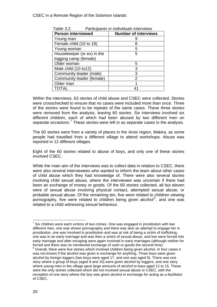| <b>Person interviewed</b>  | <b>Number of interviews</b> |
|----------------------------|-----------------------------|
| Young man                  |                             |
| Female child (10 to 18)    | 8                           |
| Young woman                | 5                           |
| Housekeeper (or ex) in the | 5                           |
| logging camp (female)      |                             |
| Older woman                | 5                           |
| Male child (10 to 12)      | 3                           |
| Community leader (male)    | 3                           |
| Community leader (female)  | 2                           |
| Older man                  |                             |
| TOTAL                      |                             |

<span id="page-21-0"></span> *Table 3.2. Participants in individuals interviews* 

Within the interviews, 63 stories of child abuse and CSEC were collected. Stories were crosschecked to ensure that no cases were included more than once. Three of the stories were found to be repeats of the same cases. These three stories were removed from the analysis, leaving 60 stories. Six interviews involved six different children, each of which had been abused by two different men on separate occasions.<sup>[7](#page-21-0)</sup> These stories were left in as separate cases in the analysis.

The 60 stories were from a variety of places in the Arosi region, Makira, as some people had travelled from a different village to attend workshops. Abuse was reported in 12 different villages.

Eight of the 60 stories related to abuse of boys, and only one of these stories involved CSEC.

While the main aim of the interviews was to collect data in relation to CSEC, there were also several interviewees who wanted to inform the team about other cases of child abuse which they had knowledge of. There were also several stories involving child sexual abuse, where the interviewee was uncertain if there had been an exchange of money or goods. Of the 60 stories collected, all but eleven were of sexual abuse involving physical contact, attempted sexual abuse, or probable sexual abuse. Of the remaining ten, five were related to children viewing pornography, five were related to children being given alcohol<sup>[8](#page-21-0)</sup>, and one was related to a child witnessing sexual behaviour.

l  $7$  Six children were each victims of two crimes. One was engaged in prostitution with two different men, one was shown pornography and there was also an attempt to engage her in prostitution, one was involved in prostitution and was at risk of being a victim of trafficking, one was in an early marriage and was then a victim of sexual abuse, and two were forced into early marriage and after escaping were again involved in early marriages (although neither for forced and there was no mentioned exchange of cash or goods the second time).

<sup>&</sup>lt;sup>8</sup> Overall, there were five stories which involved children being given alcohol. In four cases it was not known if the alcohol was given in exchange for anything. Three boys were given alcohol by foreign loggers (two boys were aged 17, and one was aged 9). There was one story where a group of boys (aged 9 and 10) were given alcohol by loggers, and one story where young men in the village gave large amounts of alcohol to boys aged 12 to 15. These were the only stories collected which did not involved sexual abuse or CSEC, with the exception of one story where the boy was given alcohol in exchange for acting as a facilitator of CSEC.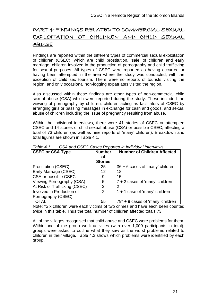# <span id="page-22-0"></span>PART 4: FINDINGS RELATED TO COMMERCIAL SEXUAL EXPLOITATION OF CHILDREN AND CHILD SEXUAL ABUSE

Findings are reported within the different types of commercial sexual exploitation of children (CSEC), which are child prostitution, 'sale' of children and early marriage, children involved in the production of pornography and child trafficking for sexual purposes. All types of CSEC were reported as having occurred or having been attempted in the area where the study was conducted, with the exception of child sex tourism. There were no reports of tourists visiting the region, and only occasional non-logging expatriates visited the region.

Also discussed within these findings are other types of non-commercial child sexual abuse (CSA) which were reported during the study. These included the viewing of pornography by children, children acting as facilitators of CSEC by arranging girls or passing messages in exchange for cash and goods, and sexual abuse of children including the issue of pregnancy resulting from abuse.

Within the individual interviews, there were 41 stories of CSEC or attempted CSEC and 14 stories of child sexual abuse (CSA) or possible CSEC, affecting a total of 73 children (as well as nine reports of 'many' children). Breakdown and total figures are shown in Table 4.1.

| <b>CSEC or CSA Type</b>       | <b>Number</b><br>οf | <b>Number of Children Affected</b> |
|-------------------------------|---------------------|------------------------------------|
|                               | <b>Stories</b>      |                                    |
| <b>Prostitution (CSEC)</b>    | 25                  | 36 + 6 cases of 'many' children    |
| Early Marriage (CSEC)         | 12                  | 18                                 |
| CSA or possible CSEC          | 9                   | 15                                 |
| Viewing Pornography (CSA)     | 5                   | $7 + 2$ cases of 'many' children   |
| At Risk of Trafficking (CSEC) | $\mathcal{P}$       | 2                                  |
| Involved in Production of     | 2                   | $1 + 1$ case of 'many' children    |
| Pornography (CSEC)            |                     |                                    |
| <b>TOTAL</b>                  | 55                  | $79* + 9$ cases of 'many' children |

*Table 4.1. CSA and CSEC Cases Reported in Individual Interviews* 

Note: \*Six children were each victims of two crimes and have each been counted twice in this table. Thus the total number of children affected totals 73.

All of the villages recognised that child abuse and CSEC were problems for them. Within one of the group work activities (with over 1,000 participants in total), groups were asked to outline what they saw as the worst problems related to children in their village. Table 4.2 shows which problems were identified by each group.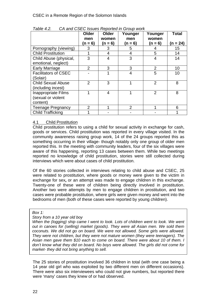|                             | Older          | Older          | Younger       | Younger        | <b>Total</b> |
|-----------------------------|----------------|----------------|---------------|----------------|--------------|
|                             | men            | women          | men           | women          |              |
|                             | (n = 6)        | $(n = 6)$      | $(n = 6)$     | $(n = 6)$      | (n = 24)     |
| Pornography (viewing)       | 3              | 3              | 5             | 4              | 15           |
| <b>Child Prostitution</b>   |                | 4              | 4             | 5              | 14           |
| Child Abuse (physical,      | 3              | 4              | 3             | 4              | 14           |
| emotional, neglect)         |                |                |               |                |              |
| Early Marriage              | $\overline{2}$ | 3              | 3             | $\overline{2}$ | 10           |
| <b>Facilitators of CSEC</b> |                |                | 4             | 5              | 10           |
| (Solair)                    |                |                |               |                |              |
| <b>Child Sexual Abuse</b>   | $\overline{2}$ | 3              |               | $\overline{2}$ | 8            |
| (including incest)          |                |                |               |                |              |
| Inappropriate Films         |                | $\overline{4}$ | 1             | $\overline{2}$ | 8            |
| (sexual or violent          |                |                |               |                |              |
| content)                    |                |                |               |                |              |
| <b>Teenage Pregnancy</b>    | $\mathcal{P}$  |                | $\mathcal{P}$ |                | 6            |
| <b>Child Trafficking</b>    |                |                |               |                |              |

<span id="page-23-0"></span>*Table 4.2. CA and CSEC Issues Reported in Group work* 

## 4.1 Child Prostitution

Child prostitution refers to using a child for sexual activity in exchange for cash, goods or services. Child prostitution was reported in every village visited. In the community awareness raising group work, 14 of the 24 groups reported this as something occurring in their village- though notably only one group of older men reported this. In the meeting with community leaders, four of the six villages were aware of this happening, reporting 13 cases between them. While two meetings reported no knowledge of child prostitution, stories were still collected during interviews which were about cases of child prostitution.

Of the 60 stories collected in interviews relating to child abuse and CSEC, 25 were related to prostitution, where goods or money were given to the victim in exchange for sex**,** or an attempt was made to engage children in this exchange. Twenty-one of these were of children being directly involved in prostitution. Another two were attempts by men to engage children in prostitution, and two cases were probable prostitution, where girls were given money and went into the bedrooms of men (both of these cases were reported by young children).

#### *Box 1:*

#### *Story from a 10 year old boy*

*When the (logging) ship came I went to look. Lots of children went to look. We went out in canoes for (selling) market (goods). They were all Asian men. We sold them coconuts. We did not go on board. We were not allowed. Some girls were allowed. They were not children, but they were not mature women (they were teenagers). The Asian men gave them \$10 each to come on board. There were about 10 of them. I don't know what they did on board. No boys were allowed. The girls did not come for market- they did not bring anything to sell.* 

The 25 stories of prostitution involved 36 children in total (with one case being a 14 year old girl who was exploited by two different men on different occasions). There were also six interviewees who could not give numbers, but reported there were 'many' cases they knew of or had observed.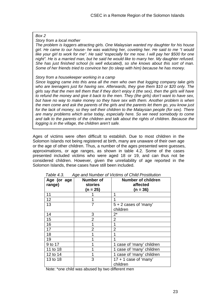#### *Box 2*

*Story from a local mother* 

*The problem is loggers attracting girls. One Malaysian wanted my daughter for his house girl. He came to our house- he was watching her, coveting her. He said to me "I would*  like your girl to work for me". He said "especially for me now. I will pay her \$500 for one *night". He is a married man, but he said he would like to marry her. My daughter refused. She has just finished school (is well educated), so she knows about this sort of man. Some of her friends tried to convince her (to sleep with him) because he has money.*

#### *Story from a housekeeper working in a camp*

*Since logging came into this area all the men who own that logging company take girls who are teenagers just for having sex. Afterwards, they give them \$10 or \$20 only. The girls say that the men tell them that if they don't enjoy it (the sex), then the girls will have to refund the money and give it back to the men. They (the girls) don't want to have sex, but have no way to make money so they have sex with them. Another problem is when the men come and ask the parents of the girls and the parents let them go, you know just for the lack of money, so they sell their children to the Malaysian people (for sex). There are many problems which arise today, especially here. So we need somebody to come and talk to the parents of the children and talk about the rights of children. Because the logging is in the village, the children aren't safe.*

Ages of victims were often difficult to establish. Due to most children in the Solomon Islands not being registered at birth, many are unaware of their own age or the age of other children. Thus, a number of the ages presented were guesses, approximations, or age ranges, as shown in table 4.2. Some of the cases presented included victims who were aged 18 or 19, and can thus not be considered children. However, given the unreliability of age reported in the Solomon Islands, these cases have still been included.

| Age (or age<br>range) | <b>Number of</b><br>stories<br>(n = 25) | <b>Number of children</b><br>affected<br>$(n = 36)$ |
|-----------------------|-----------------------------------------|-----------------------------------------------------|
| 11                    |                                         | 1                                                   |
| 12                    |                                         |                                                     |
| 13                    | 7                                       | $5 + 2$ cases of 'many'                             |
|                       |                                         | children                                            |
| 14                    | 3                                       | $2^*$                                               |
| 15                    | $\overline{2}$                          | $\overline{2}$                                      |
| 16                    |                                         |                                                     |
| 17                    | 2                                       | 2                                                   |
| 18                    |                                         |                                                     |
| 19                    |                                         |                                                     |
| 9 to 17               |                                         | 1 case of 'many' children                           |
| 11 to 18              |                                         | 1 case of 'many' children                           |
| 12 to 14              |                                         | 1 case of 'many' children                           |
| 13 to 18              | 3                                       | $17 + 1$ case of 'many'<br>children                 |

*Table 4.3. Age and Number of Victims of Child Prostitution* 

Note: \*one child was abused by two different men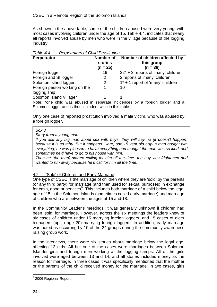<span id="page-25-0"></span>As shown in the above table, some of the children abused were very young, with most cases involving children under the age of 15. Table 4.4. indicates that nearly all reports involved abuse by men who were in the village because of the logging industry.

| $1$ univ T.T.<br>, crpotratoro or Orling i roguidadir |                  |                                       |  |  |  |
|-------------------------------------------------------|------------------|---------------------------------------|--|--|--|
| Perpetrator                                           | <b>Number of</b> | Number of children affected by        |  |  |  |
|                                                       | stories          | this group                            |  |  |  |
|                                                       | $(n = 25)$       | $(n = 36)$                            |  |  |  |
| Foreign logger                                        | 19               | $22^*$ + 3 reports of 'many' children |  |  |  |
| Foreign and SI logger                                 | 2                | 2 reports of 'many' children          |  |  |  |
| Solomon Island logger                                 | $\mathcal{P}$    | $1^*$ + 1 report of 'many' children   |  |  |  |
| Foreign person working on the                         |                  | 10                                    |  |  |  |
| logging ship                                          |                  |                                       |  |  |  |
| Solomon Island Villager                               |                  |                                       |  |  |  |

*Table 4.4. Perpetrators of Child Prostitution* 

Note: \*one child was abused in separate incidences by a foreign logger and a Solomon logger and is thus included twice in this table.

Only one case of reported prostitution involved a male victim, who was abused by a foreign logger**.** 

#### *Box 3*

*Story from a young man* 

*If you ask any big man about sex with boys, they will say no (it doesn't happen) because it is so tabu. But it happens. Here, one 15 year old boy- a man bought him everything, he was pleased to have everything and thought the man was so kind, and sometimes he'd have to go to his house with him.* 

*Then he (the man) started calling for him all the time- the boy was frightened and wanted to run away because he'd call for him all the time.*

## 4.2 'Sale' of Children and Early Marriage

One type of CSEC is the marriage of children where they are 'sold' by the parents (or any third party) for marriage (and then used for sexual purposes) in exchange for cash, good or services $9$ . This includes both marriage of a child below the legal age of 15 in the Solomon Islands (sometimes called early marriage) and marriage of children who are between the ages of 15 and 18.

In the Community Leader's meetings, it was generally unknown if children had been 'sold' for marriage. However, across the six meetings the leaders knew of six cases of children under 15 marrying foreign loggers, and 15 cases of older teenagers (up to age 20) marrying foreign loggers. In addition, early marriage was noted as occurring by 10 of the 24 groups during the community awareness raising group work.

In the interviews, there were six stories about marriage below the legal age, affecting 12 girls. All but one of the cases were marriages between Solomon Islander girls and foreign men working at the logging camps. All of the girls involved were aged between 13 and 14, and all stories included money as the reason for marriage. In three cases it was specifically mentioned that the mother or the parents of the child received money for the marriage. In two cases, girls

 9 2006 Regional Report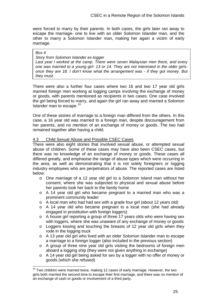<span id="page-26-0"></span>were forced to marry by their parents. In both cases, the girls later ran away to escape the marriage- one to live with an older Solomon Islander man, and the other to marry a Solomon Islander man, making her again a victim of early marriage.

#### *Box 4*

#### *Story from Solomon Islander ex-logger*

*Last year I worked at the camp. There were seven Malaysian men there, and every one was married to a young girl- 13 or 14. They are not interested in the older girlsonce they are 18. I don't know what the arrangement was - if they got money. But they must.* 

There were also a further four cases where two 16 and two 17 year old girls married foreign men working at logging camps involving the exchange of money or goods, with parents mentioned as recipients in two cases. One case involved the girl being forced to marry, and again the girl ran away and married a Solomon Islander man to escape.<sup>[10](#page-26-0)</sup>

One of these stories of marriage to a foreign man differed from the others. In this case, a 16 year old was married to a foreign man, despite discouragement from her parents, and no mention of an exchange of money or goods. The two had remained together after having a child.

#### 4.3 Child Sexual Abuse and Possible CSEC Cases

There were also eight stories that involved sexual abuse, or attempted sexual abuse of children. Some of these cases may have also been CSEC cases, but there was no knowledge of an exchange of money or goods. These cases all differed greatly, and emphasise the range of abuse types which were occurring in the area, as well as demonstrating that it is not solely foreigners or logging industry employees who are perpetrators of abuse. The reported cases are listed below:

- o One marriage of a 12 year old girl to a Solomon Island man without her consent, where she was subjected to physical and sexual abuse before her parents took her back to the family home
- o A 14 year old girl who became pregnant to a married man who was a prominent community leader
- o A local man who had had sex with a grade four girl (about 12 years old)
- o A 14 year old who became pregnant to a local man (she had already engaged in prostitution with foreign loggers)
- o A house girl reporting a group of three 17 years olds who were having sex with loggers, where she was unaware of any exchange of money or goods
- o Loggers kissing and touching the breasts of 12 year old girls when they rode in the logging truck
- o A 13 year old girl who lived with an older Solomon Islander man to escape a marriage to a foreign logger (also included in the previous section)
- o A group of three nine year old girls visiting the bedrooms of foreign men aboard a logging ship (they were not given anything in exchange)
- o A 14 year old girl being asked for sex by a logger with no offer of money or goods (which she refused)

 $\overline{a}$  $10$  Two children were married twice, making 12 cases of early marriage. However, the two girls both married the second time to escape their first marriage, and there was no mention of an exchange of cash or goods or involvement of a third party.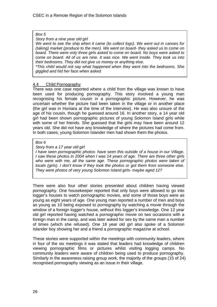#### <span id="page-27-0"></span>*Box 5*

*Story from a nine year old girl* 

*We went to see the ship when it came (to collect logs). We went out in canoes for (taking) market (produce to the men). We went on board- they asked us to come on board. There were only three girls asked to come on board. No boys were asked to come on board. All of us are nine. It was nice. We went inside. They took us into their bedrooms. They did not give us money or anything else.* 

*\*This child would not say what happened when they went into the bedrooms. She giggled and hid her face when asked.* 

## 4.4 Child Pornography

There was one case reported where a child from the village was known to have been used for producing pornography. This story involved a young man recognising his female cousin in a pornographic picture. However, he was uncertain whether the picture had been taken in the village or in another place (the girl was in Honiara at the time of the interview). He was also unsure of the age of his cousin, though he guessed around 16. In another story, a 14 year old girl had been shown pornographic pictures of young Solomon Island girls while with some of her friends. She guessed that the girls may have been around 12 years old. She did not have any knowledge of where the pictures had come from. In both cases, young Solomon Islander men had shown them the photos.

#### *Box 6*

#### *Story from a 17 year old girl*

*I have seen pornographic photos- have seen this outside of a house in our Village. I saw these photos in 2004 when I was 14 years of age. There are three other girls who were with me, all the same age. These pornographic photos were taken of locals (girls). I don't know if they took the photos or got them from someone else. They were photos of very young Solomon Island girls- maybe aged 12?* 

There were also four other stories presented about children having viewed pornography. One housekeeper reported that only boys were allowed to go into logger's houses to watch pornographic movies, and some of those boys were as young as eight years of age. One young man reported a number of men and boys as young as 10 being exposed to pornography by watching a movie through the window of a foreign logger's house, without this logger's knowledge. One 12 year old girl reported having watched a pornographic movie on two occasions with a foreign man in the camp, and was later asked for sex by the same man a number of times (which she refused). One 18 year old girl also spoke of a Solomon Islander boy showing her and a friend a pornographic magazine at school.

These stories were supported within the meetings with community leaders, where in four of the six meetings it was stated that leaders had knowledge of children viewing pornographic films or pictures whilst visiting logging camps. No community leaders were aware of children being used to produce pornography. Similarly in the awareness raising group work, the majority of the groups (15 of 24) recognised pornography viewing as an issue in their village.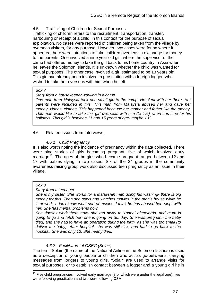#### <span id="page-28-0"></span>4.5 Trafficking of Children for Sexual Purposes

Trafficking of children refers to the recruitment, transportation, transfer, harbouring or receipt of a child, in this context for the purpose of sexual exploitation. No cases were reported of children being taken from the village by overseas visitors, for any purpose. However, two cases were found where it appeared there were intentions to take children overseas in exchange for money to the parents. One involved a nine year old girl, where the supervisor of the camp had offered money to take the girl back to his home country in Asia when he leaves the Solomon Islands. It is unknown whether the child was wanted for sexual purposes. The other case involved a girl estimated to be 13 years old. This girl had already been involved in prostitution with a foreign logger, who wished to take her overseas with him when he left.

#### *Box 7*

*Story from a housekeeper working in a camp* 

*One man from Malaysia took one small girl to the camp. He slept with her there. Her parents were included in this. This man from Malaysia abused her and gave her money, videos, clothes. This happened because her mother and father like the money. This man would like to take this girl overseas with him (to live) when it is time for his holidays. This girl is between 11 and 15 years of age- maybe 13?*

#### 4.6 Related Issues from Interviews

#### *4.6.1 Child Pregnancy*

It is also worth noting the incidence of pregnancy within the data collected. There were nine stories of girls becoming pregnant, five of which involved early marriage<sup>[11](#page-28-0)</sup>. The ages of the girls who became pregnant ranged between 12 and 17 with babies dying in two cases. Six of the 24 groups in the community awareness raising group work also discussed teen pregnancy as an issue in their village.

#### *Box 8*

 $\overline{a}$ 

*Story from a teenager* 

*She is my sister. She works for a Malaysian man doing his washing- there is big money for this. Then she stays and watches movies in the man's house while he is at work. I don't know what sort of movies. I think he has abused her- slept with her. She has mental problems now.* 

*She doesn't work there now- she ran away to Ysabel afterwards, and mum is going to go and fetch her- she is going on Sunday. She was pregnant- the baby died, and she had to have an operation during the birth, as she was too small (to deliver the baby). After hospital, she was still sick, and had to go back to the hospital. She was only 13. She nearly died.*

## *4.6.2 Facilitators of CSEC (Solair)*

The term 'Solair' (the name of the National Airline in the Solomon Islands) is used as a description of young people or children who act as go-betweens, carrying messages from loggers to young girls. 'Solair' are used to arrange visits for sexual purposes, or to establish contact between a logger and a young girl he is

 $11$  Five child pregnancies involved early marriage (3 of which were under the legal age), two were following prostitution and two were following CSA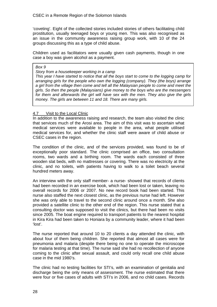<span id="page-29-0"></span>'coveting'. Eight of the collected stories included stories of others facilitating child prostitution, usually teenaged boys or young men. This was also recognised as an issue in the community awareness raising group work, with 10 of the 24 groups discussing this as a type of child abuse.

Children used as facilitators were usually given cash payments, though in one case a boy was given alcohol as a payment.

*Box 9* 

*Story from a housekeeper working in a camp* 

*This year I have started to notice that all the boys start to come to the logging camp for arranging girls for the people who own the logging (company). They (the boys) arrange a girl from the village then come and tell all the Malaysian people to come and meet the girls. So then the people (Malaysians) give money to the boys who are the messengers for them and afterwards the girl will have sex with the men. They also give the girls money. The girls are between 11 and 18. There are many girls.* 

#### 4.7 Visit to the Local Clinic

In addition to the awareness raising and research, the team also visited the clinic that services much of the Arosi area. The aim of this visit was to ascertain what medical services were available to people in the area, what people utilised medical services for, and whether the clinic staff were aware of child abuse or CSEC cases in the region.

The condition of the clinic, and of the services provided, was found to be of exceptionally poor standard. The clinic comprised an office, two consultation rooms, two wards and a birthing room. The wards each consisted of three wooden slat beds, with no mattresses or covering. There was no electricity at the clinic, and no toilets, with patients having to walk to a toilet beach several hundred meters away.

An interview with the only staff member- a nurse- showed that records of clients had been recorded in an exercise book, which had been lost or taken, leaving no overall records for 2006 or 2007. No new record book had been started. This nurse also staffed the next closest clinic, as the previous nurse had left. However she was only able to travel to the second clinic around once a month. She also provided a satellite clinic to the other end of the region. This nurse stated that a consulting doctor was supposed to visit the clinics, but there had been no visits since 2005. The boat engine required to transport patients to the nearest hospital in Kira Kira had been taken to Honiara by a community leader, where it had been 'lost'.

The nurse reported that around 10 to 20 clients a day attended the clinic, with about four of them being children. She reported that almost all cases were for pneumonia and malaria (despite there being no one to operate the microscope for malaria testing at that time). The nurse said she had no recollection of anyone coming to the clinic after sexual assault, and could only recall one child abuse case in the mid 1980's.

The clinic had no testing facilities for STI's, with an examination of genitalia and discharge being the only means of assessment. The nurse estimated that there were four or five cases of adults with STI's in 2006, and no child cases. Records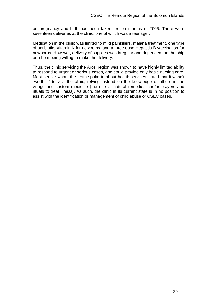on pregnancy and birth had been taken for ten months of 2006. There were seventeen deliveries at the clinic, one of which was a teenager.

Medication in the clinic was limited to mild painkillers, malaria treatment, one type of antibiotic, Vitamin K for newborns, and a three dose Hepatitis B vaccination for newborns. However, delivery of supplies was irregular and dependent on the ship or a boat being willing to make the delivery.

Thus, the clinic servicing the Arosi region was shown to have highly limited ability to respond to urgent or serious cases, and could provide only basic nursing care. Most people whom the team spoke to about health services stated that it wasn't "worth it" to visit the clinic, relying instead on the knowledge of others in the village and kastom medicine (the use of natural remedies and/or prayers and rituals to treat illness). As such, the clinic in its current state is in no position to assist with the identification or management of child abuse or CSEC cases.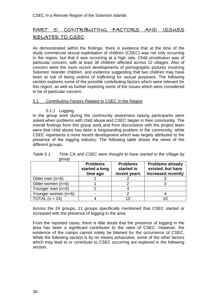# <span id="page-31-0"></span>PART 5: CONTRIBUTING FACTORS AND ISSUES RELATED TO CSEC

As demonstrated within the findings, there is evidence that at the time of the study commercial sexual exploitation of children (CSEC) was not only occurring in the region, but that it was occurring at a high rate. Child prostitution was of particular concern, with at least 36 children affected across 12 villages. Also of concern were the more recent developments of pornographic pictures involving Solomon Islander children, and evidence suggesting that two children may have been at risk of being victims of trafficking for sexual purposes. The following section explores some of the possible contributing factors which were relevant for this region, as well as further exploring some of the issues which were considered to be of particular concern.

#### 5.1 Contributing Factors Related to CSEC in the Region

#### *5.1.1 Logging*

In the group work during the community awareness raising participants were asked when problems with child abuse and CSEC began in their community. The overall findings from this group work and from discussions with the project team were that child abuse has been a longstanding problem in the community, while CSEC represents a more recent development which was largely attributed to the presence of the logging industry. The following table shows the views of the different groups.

|                     | <b>Problems</b><br>started a long<br>time ago | <b>Problems</b><br>started in<br>recent years | <b>Problems already</b><br>existed, but have<br>increased recently |
|---------------------|-----------------------------------------------|-----------------------------------------------|--------------------------------------------------------------------|
| Older men $(n=6)$   |                                               |                                               |                                                                    |
| Older women (n=6)   |                                               |                                               |                                                                    |
| Younger men (n=6)   |                                               |                                               |                                                                    |
| Younger women (n=6) |                                               |                                               |                                                                    |
| TOTAL $(n = 24)$    |                                               | 10                                            |                                                                    |

*Table 5.1. Time CA and CSEC were thought to have started in the Village by group* 

Across the 24 groups, 11 groups specifically mentioned that CSEC started or increased with the presence of logging in the area.

From the reported cases, there is little doubt that the presence of logging in the area has been a significant contributor to the rates of CSEC. However, the existence of the camps cannot solely be blamed for the occurrence of CSEC. While the following section is by no means exhaustive, some of the other factors which may lead to or contribute to CSEC occurring are explored in the following section.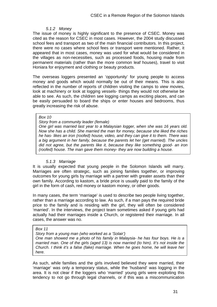#### *5.1.2 Money*

The issue of money is highly significant to the presence of CSEC. Money was cited as the reason for CSEC in most cases. However, the 2004 study discussed school fees and transport as two of the main financial contributors. In this project, there were no cases where school fees or transport were mentioned. Rather, it appeared that in most cases, money was used for what would be considered in the villages as non-necessities, such as processed foods, housing made from permanent materials (rather than the more common leaf houses), travel to visit Honiara for enjoyment and clothing or beauty products.

The overseas loggers presented an 'opportunity' for young people to access money and goods which would normally be out of their means. This is also reflected in the number of reports of children visiting the camps to view movies, look at machinery or look at logging vessels- things they would not otherwise be able to see. As such, the children see logging camps as exciting places, and can be easily persuaded to board the ships or enter houses and bedrooms, thus greatly increasing the risk of abuse.

#### *Box 10*

#### *Story from a community leader (female)*

*One girl was married last year to a Malaysian logger, when she was 16 years old. Now she has a child. She married the man for money, because she liked the riches he has- likes an iron (roofed) house, video, and they can give it to them. There was a big argument in her family, because the parents let her (get married). The uncles did not agree, but the parents like it, because they like something good- an iron (roofed) house. The man gave them money- they are now building a house.*

#### *5.1.3 Marriage*

It is usually expected that young people in the Solomon Islands will marry. Marriages are often strategic, such as joining families together, or improving outcomes for young girls by marriage with a partner with greater assets than their own family. According to kastom, a bride price is usually paid to the family of the girl in the form of cash, red money or kastom money, or other goods.

In many cases, the term 'marriage' is used to describe two people living together, rather than a marriage according to law. As such, if a man pays the required bride price to the family and is residing with the girl, they will often be considered 'married'. In the interviews, the project team sometimes asked if young girls had actually had their marriages inside a Church, or registered their marriage. In all cases, the answer was no.

#### *Box 11*

*Story from a young man (who worked as a 'Solair')* 

*One man showed me a photo of his family in Malaysia- he has four boys. He is a married man. One of the girls (aged 13) is now married (to him). It's not inside the Church. I think it's a false (fake) marriage. When he goes home, he will leave her here.*

As such, while families and the girls involved believed they were married, their 'marriage' was only a temporary status, while the 'husband' was logging in the area. It is not clear if the loggers who 'married' young girls were exploiting this tendency to not go through legal channels, or if this was a miscommunication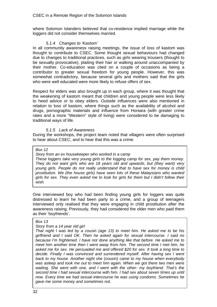where Solomon Islanders believed that co-residence implied marriage while the loggers did not consider themselves married.

#### *5.1.4 Changes to 'Kastom'*

In all community awareness raising meetings, the issue of loss of kastom was thought to contribute to CSEC. Some thought sexual behaviours had changed due to changes to traditional practices, such as girls wearing trousers (thought to be sexually provocative), plaiting their hair or walking around unaccompanied by their mother. Co-education was cited on a couple of occasions as being a contributor to greater sexual freedom for young people. However, this was somewhat contradictory, because several girls and mothers said that the girls who were well educated were more likely to refuse offers of sex.

Respect for elders was also brought up in each group, where it was thought that the weakening of kastom meant that children and young people were less likely to heed advice or to obey elders. Outside influences were also mentioned in relation to loss of kastom, where things such as the availability of alcohol and drugs, pornographic materials and influence from Honiara (with greater crime rates and a more "Western" style of living) were considered to be damaging to traditional ways of life.

#### *5.1.5 Lack of Awareness*

During the workshops, the project team noted that villagers were often surprised to hear about CSEC, and to hear that this was a crime.

#### *Box 12*

*Story from an ex housekeeper who worked in a camp* 

*These loggers take very young girls to the logging camp for sex, pay them money. They do not want girls who are 18 years old and upwards, but (they want) very young girls. People do not really understand that to have sex for money is child prostitution. We (the house girls) have seen lots of these Malaysians who wanted girls for sex. They even asked me to look for girls for them but I didn't follow their wish.* 

One interviewed boy who had been finding young girls for loggers was quite distressed to learn he had been party to a crime, and a group of teenagers interviewed only realised that they were engaging in child prostitution after the awareness raising. Previously, they had considered the older men who paid them as their 'boyfriends'.

#### *Box 13*

#### *Story from a 14 year old girl*

*That night I was led by a cousin (age 13) to meet him. He asked me to be his girlfriend and I said OK. Then he asked again for sexual intercourse. I said no because I'm frightened. I have not done anything like that before. He asked me to meet him another time then I went away from him. The second time I met him, he asked me for sex. He persuaded me and offered \$20 for sex. It took a long time to decide. Finally I was convinced and surrendered myself. After having sex I went back to my house. Another night she (cousin) came to my house when everybody*  was asleep and took me out to meet him again. When we got there two men were *waiting. She went with one, and I went with the other- my boyfriend. That's the second time I had sexual intercourse with him. I had sex about seven times up until now. Every time we had sexual intercourse he was using condoms. Sometimes he gave me some money and sometimes not.*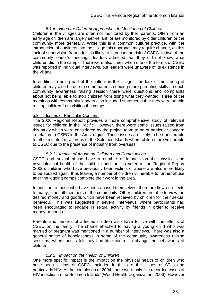#### *5.1.6 Need for Different Approaches to Monitoring of Children*

<span id="page-34-0"></span>Children in the villages are often not monitored by their parents. Often from an early age children are largely self-reliant, or are monitored by older children or the community more generally. While this is a common cultural practice, with the introduction of outsiders into the village this approach may require change, as this lack of supervision from adults is likely to increase the risk of CSEC. In two of the community leader's meetings, leaders admitted that they did not know what children did in the camps. There were also times when one of the forms of CSEC was reported in individual interviews, but leaders were unaware of its existence in the village.

In addition to being part of the culture in the villages, the lack of monitoring of children may also be due to some parents needing more parenting skills. In each community awareness raising session there were questions and complaints about not being able to stop children from doing what they wanted. Three of the meetings with community leaders also included statements that they were unable to stop children from visiting the camps.

#### 5.2 Issues of Particular Concern

The 2006 Regional Report provides a more comprehensive study of relevant issues for children in the Pacific. However, there were some issues raised from this study which were considered by the project team to be of particular concern in relation to CSEC in the Arosi region. These issues are likely to be transferable to other isolated rural areas of the Solomon Islands where children are vulnerable to CSEC due to the presence of industry from overseas.

#### *5.2.1 Impact of Abuse on Children and Communities*

CSEC and sexual abuse have a number of impacts on the physical and psychological health of the child. In addition, as noted in the Regional Report (2006), children who have previously been victims of abuse are also more likely to be abused again, thus leaving a number of children vulnerable to further abuse after the logging camps complete their work in the area.

In addition to those who have been abused themselves, there are flow-on effects to many, if not all members of the community. Other children are able to view the desired money and goods which have been received by children for their sexual behaviour. This was suggested in several interviews, where participants had been encouraged to engage in sexual activity by friends in order to receive money or goods.

Parents and families of affected children also have to live with the effects of CSEC on the family. The shame attached to having a young child who was married or pregnant was mentioned in a number of interviews. There was also a general sense of hopelessness in some of the community awareness raising sessions, where adults felt they had little control to change the behaviours of children.

#### *5.2.2 Impact on the Health of Children*

One more specific impact is the impact on the physical health of children who have been victims of CSEC. Included in this are the issues of STI's and particularly HIV. At the completion of 2004, there were only five recorded cases of HIV infection in the Solomon Islands (World Health Organization, 2006). However,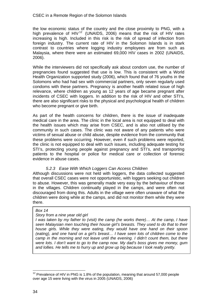<span id="page-35-0"></span>the low economic status of the country and the close proximity to PNG, with a high prevalence of HIV<sup>[12](#page-35-0)</sup> (UNAIDS, 2006) means that the risk of HIV rates increasing is high. Included in this risk is the risk of spread of infection from foreign industry. The current rate of HIV in the Solomon Islands is in stark contrast to countries where logging industry employees are from such as Malaysia, where there were an estimated 69,000 HIV cases in 2002 (UNAIDS, 2006).

While the interviewers did not specifically ask about condom use, the number of pregnancies found suggested that use is low. This is consistent with a World Health Organization supported study (2006), which found that of 76 youths in the Solomons who had had sex with commercial partners, only seven regularly used condoms with these partners. Pregnancy is another health related issue of high relevance, where children as young as 12 years of age became pregnant after incidents of CSEC with loggers. In addition to the risk of HIV and other STI's, there are also significant risks to the physical and psychological health of children who become pregnant or give birth.

As part of the health concerns for children, there is the issue of inadequate medical care in the area. The clinic in the local area is not equipped to deal with the health issues which may arise from CSEC, and is also not utilised by the community in such cases. The clinic was not aware of any patients who were victims of sexual abuse or child abuse, despite evidence from the community that these problems were occurring. However, even if such problems were reported, the clinic is not equipped to deal with such issues, including adequate testing for STI's, protecting young people against pregnancy and STI's, and transporting patients to the hospital or police for medical care or collection of forensic evidence in abuse cases.

## *5.2.3 Ease With Which Loggers Can Access Children*

Although discussions were not held with loggers, the data collected suggested that overall CSEC cases were not opportunistic, with loggers seeking out children to abuse. However, this was generally made very easy by the behaviour of those in the villages. Children continually played in the camps, and were often not discouraged from doing this. Adults in the village were often unaware of what the children were doing while at the camps, and did not monitor them while they were there.

## *Box 14*

## *Story from a nine year old girl*

*I* was taken by my father to (visit) the camp (he works there)... At the camp, I have *seen Malaysian men touching their house girl's breasts. They used to do that to their house girls. While they were eating, they would have one hand on their spoon (eating), and one hand on a girl's breast… I have seen lots of children come to the camp in the morning and not leave until the evening. I didn't count them, but there were lots. I don't want to go to the camp now. My dad's boss gives me money, gum and lollies. He tells me to hurry up and grow up big because I look really pretty.*

 $\overline{a}$ 

 $12$  Prevalence of HIV in PNG is 1.8% of the population, meaning that around 57,000 people over age 15 were living with the virus in 2005 (UNAIDS, 2006)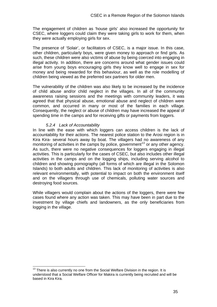<span id="page-36-0"></span>The engagement of children as 'house girls' also increased the opportunity for CSEC, where loggers could claim they were taking girls to work for them, when they were actually employing girls for sex.

The presence of 'Solair', or facilitators of CSEC, is a major issue. In this case, other children, particularly boys, were given money to approach or find girls. As such, these children were also victims of abuse by being coerced into engaging in illegal activity. In addition, there are concerns around what gender issues could arise from young boys encouraging girls they know well to engage in sex for money and being rewarded for this behaviour, as well as the role modelling of children being viewed as the preferred sex partners for older men.

The vulnerability of the children was also likely to be increased by the incidence of child abuse and/or child neglect in the villages. In all of the community awareness raising sessions and the meetings with community leaders, it was agreed that that physical abuse, emotional abuse and neglect of children were common, and occurred in many or most of the families in each village. Consequently, the neglect or abuse of children may have increased the appeal of spending time in the camps and for receiving gifts or payments from loggers.

#### *5.2.4 Lack of Accountability*

In line with the ease with which loggers can access children is the lack of accountability for their actions. The nearest police station to the Arosi region is in Kira Kira- several hours away by boat. The villagers had no awareness of any monitoring of activities in the camps by police, government<sup>[13](#page-36-0)</sup> or any other agency. As such, there were no negative consequences for loggers engaging in illegal activities. This is particularly for the cases of CSEC, but also includes other illegal activities in the camps and on the logging ships, including serving alcohol to children and showing pornography (all forms of which are illegal in the Solomon Islands) to both adults and children. This lack of monitoring of activities is also relevant environmentally, with potential to impact on both the environment itself and on the villagers through use of chemicals, polluting water sources and destroying food sources.

While villagers would complain about the actions of the loggers, there were few cases found where any action was taken. This may have been in part due to the investment by village chiefs and landowners, as the only beneficiaries from logging in the village.

 $\overline{a}$  $13$  There is also currently no one from the Social Welfare Division in the region. It is understood that a Social Welfare Officer for Makira is currently being recruited and will be based in Kira Kira.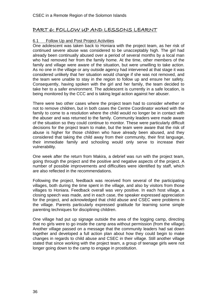# <span id="page-37-0"></span>PART 6: FOLLOW UP AND LESSONS LEARNT

#### 6.1 Follow Up and Post Project Activities

One adolescent was taken back to Honiara with the project team, as her risk of continued severe abuse was considered to be unacceptably high. The girl had already been continually abused over a period of several months by a local man who had removed her from the family home. At the time, other members of the family and village were aware of the situation, but were unwilling to take action. As no one in the village or any outside agency had intervened at that stage it was considered unlikely that her situation would change if she was not removed, and the team were unable to stay in the region to follow up and ensure her safety. Consequently, having spoken with the girl and her family, the team decided to take her to a safer environment. The adolescent is currently in a safe location, is being monitored by the CCC and is taking legal action against her abuser.

There were two other cases where the project team had to consider whether or not to remove children, but in both cases the Centre Coordinator worked with the family to come to a resolution where the child would no longer be in contact with the abuser and was returned to the family. Community leaders were made aware of the situation so they could continue to monitor. These were particularly difficult decisions for the project team to make, but the team were aware that the risk of abuse is higher for those children who have already been abused, and they considered that taking the child away from their community, their first language, their immediate family and schooling would only serve to increase their vulnerability.

One week after the return from Makira, a debrief was run with the project team, going through the project and the positive and negative aspects of the project. A number of possible improvements and difficulties were identified by staff, which are also reflected in the recommendations.

Following the project, feedback was received from several of the participating villages, both during the time spent in the village, and also by visitors from those villages to Honiara. Feedback overall was very positive. In each host village, a closing speech was made, and in each case, the speaker expressed appreciation for the project, and acknowledged that child abuse and CSEC were problems in the village. Parents particularly expressed gratitude for learning some simple parenting techniques for disciplining children.

One village had put up signage outside the area of the logging camp, directing that no girls were to go inside the camp area without permission (from the village). Another village passed on a message that the community leaders had sat down together and developed a full action plan about how they could begin to make changes in regards to child abuse and CSEC in their village. Still another village stated that since working with the project team, a group of teenage girls were not longer going down to the camp to engage in prostitution.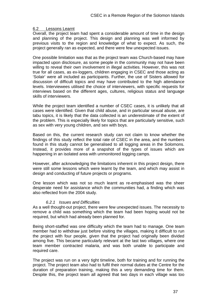#### <span id="page-38-0"></span>6.2 Lessons Learnt

Overall, the project team had spent a considerable amount of time in the design and planning of the project. This design and planning was well informed by previous visits to the region and knowledge of what to expect. As such, the project generally ran as expected, and there were few unexpected issues.

One possible limitation was that as the project team was Church-based may have impacted upon disclosure, as some people in the community may not have been willing to reveal their own involvement in illegal activities. However, this was not true for all cases, as ex-loggers, children engaging in CSEC and those acting as 'Solair' were all included as participants. Further, the use of Sisters allowed for discussion of difficult topics and may have contributed to the high attendance levels. Interviewees utilised the choice of interviewers, with specific requests for interviews based on the different ages, cultures, religious status and language skills of interviewers.

While the project team identified a number of CSEC cases, it is unlikely that all cases were identified. Given that child abuse, and in particular sexual abuse, are tabu topics, it is likely that the data collected is an underestimate of the extent of the problem. This is especially likely for topics that are particularly sensitive, such as sex with very young children, and sex with boys.

Based on this, the current research study can not claim to know whether the findings of this study reflect the total rate of CSEC in the area, and the numbers found in this study cannot be generalised to all logging areas in the Solomons. Instead, it provides more of a snapshot of the types of issues which are happening in an isolated area with unmonitored logging camps.

However, after acknowledging the limitations inherent in this project design, there were still some lessons which were learnt by the team, and which may assist in design and conducting of future projects or programs.

One lesson which was not so much learnt as re-emphasised was the sheer desperate need for assistance which the communities had, a finding which was also reflected from the 2004 study.

#### *6.2.1 Issues and Difficulties*

As a well thought-out project, there were few unexpected issues. The necessity to remove a child was something which the team had been hoping would not be required, but which had already been planned for.

Being short-staffed was one difficulty which the team had to manage. One team member had to withdraw just before visiting the villages, making it difficult to run the project with four people, given that the project had originally been divided among five. This became particularly relevant at the last two villages, where one team member contracted malaria, and was both unable to participate and required care.

The project was run on a very tight timeline, both for training and for running the project. The project team also had to fulfil their normal duties at the Centre for the duration of preparation training, making this a very demanding time for them. Despite this, the project team all agreed that two days in each village was too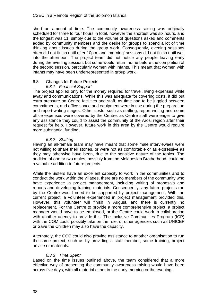<span id="page-39-0"></span>short an amount of time. The community awareness raising was originally scheduled for three to four hours in total, however the shortest was six hours, and the longest was 11, simply due to the volume of questions asked and comments added by community members and the desire for groups to spend a lot of time thinking about issues during the group work. Consequently, evening sessions often did not finish until after 10pm, and 'morning' sessions did not finish until well into the afternoon. The project team did not notice any people leaving early during the evening session, but some would return home before the completion of the second session, particularly women with infants. This meant that women with infants may have been underrepresented in group work.

## 6.3 Changes for Future Projects

#### *6.3.1 Financial Support*

The project applied only for the money required for travel, living expenses while away and communications. While this was adequate for covering costs, it did put extra pressure on Centre facilities and staff, as time had to be juggled between commitments, and office space and equipment were in use during the preparation and report-writing stages. Other costs, such as staffing, report writing and some office expenses were covered by the Centre, as Centre staff were eager to give any assistance they could to assist the community of the Arosi region after their request for help. However, future work in this area by the Centre would require more substantial funding.

## *6.3.2 Staffing*

Having an all-female team may have meant that some male interviewees were not willing to share their stories, or were not as comfortable or as expressive as they may otherwise have been, due to the sensitive nature of the topics. The addition of one or two males, possibly from the Melanesian Brotherhood, could be a valuable addition to future projects.

While the Sisters have an excellent capacity to work in the communities and to conduct the work within the villages, there are no members of the community who have experience in project management, including writing of proposals and reports and developing training materials. Consequently, any future projects run by the Centre would need to be supported by project management. With the current project, a volunteer experienced in project management provided this. However, this volunteer will finish in August, and there is currently no replacement. For the Centre to provide a more comprehensive project, a project manager would have to be employed, or the Centre could work in collaboration with another agency to provide this. The Inclusive Communities Program (ICP) with the COM could possibly take on the role, or other agencies such as UNICEF or Save the Children may also have the capacity.

Alternately, the CCC could also provide assistance to another organisation to run the same project, such as by providing a staff member, some training, project advice or materials.

## *6.3.3 Time Spent*

Based on the time issues outlined above, the team considered that a more effective way of presenting the community awareness raising would have been across five days, with all material either in the early morning or the evening.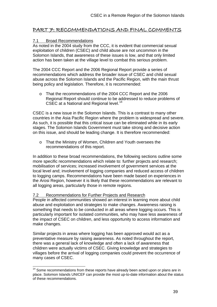# <span id="page-40-0"></span>PART 7: RECOMMENDATIONS AND FINAL COMMENTS

#### 7.1 Broad Recommendations

As noted in the 2004 study from the CCC, it is evident that commercial sexual exploitation of children (CSEC) and child abuse are not uncommon in the Solomon Islands, that awareness of these issues is low, and that only limited action has been taken at the village level to combat this serious problem.

The 2004 CCC Report and the 2006 Regional Report provide a series of recommendations which address the broader issue of CSEC and child sexual abuse across the Solomon Islands and the Pacific Region, with the main thrust being policy and legislation. Therefore, it is recommended:

o That the recommendations of the 2004 CCC Report and the 2006 Regional Report should continue to be addressed to reduce problems of CSEC at a National and Regional level.<sup>[14](#page-40-0)</sup>

CSEC is a new issue in the Solomon Islands. This is a contrast to many other countries in the Asia Pacific Region where the problem is widespread and severe. As such, it is possible that this critical issue can be eliminated while in its early stages. The Solomon Islands Government must take strong and decisive action on this issue, and should be leading change. It is therefore recommended:

o That the Ministry of Women, Children and Youth oversees the recommendations of this report.

In addition to these broad recommendations, the following sections outline some more specific recommendations which relate to: further projects and research; mobilisation of services; increased involvement of government services at the local level and; involvement of logging companies and reduced access of children to logging camps. Recommendations have been made based on experiences in the Arosi Region, however it is likely that these recommendations are relevant to all logging areas, particularly those in remote regions.

#### 7.2 Recommendations for Further Projects and Research

 $\overline{a}$ 

People in affected communities showed an interest in learning more about child abuse and exploitation and strategies to make changes. Awareness raising is something that needs to be conducted in all areas where logging occurs. This is particularly important for isolated communities, who may have less awareness of the impact of CSEC on children, and less opportunity to access information and make changes.

Similar projects in areas where logging has been approved would act as a preventative measure by raising awareness. As noted throughout the report, there was a general lack of knowledge and often a lack of awareness that children were actually victims of CSEC. Giving knowledge and strategies to villages before the arrival of logging companies could prevent the occurrence of many cases of CSEC.

 $14$  Some recommendations from these reports have already been acted upon or plans are in place. Solomon Islands UNICEF can provide the most up-to-date information about the status of these recommendations.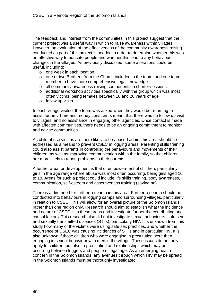The feedback and interest from the communities in this project suggest that the current project was a useful way in which to raise awareness within villages. However, an evaluation of the effectiveness of the community awareness raising conducted as part of this project is needed in order to determine whether this was an effective way to educate people and whether this lead to any behaviour changes in the villages. As previously discussed, some alterations could be useful, including:

- o one week in each location
- o one or two Brothers from the Church included in the team, and one team member to have more comprehensive legal knowledge
- o all community awareness raising components in shorter sessions
- o additional workshop activities specifically with the group which was most often victims, being females between 10 and 20 years of age
- o follow up visits

In each village visited, the team was asked when they would be returning to assist further. Time and money constraints meant that there was no follow up visit to villages, and no assistance in engaging other agencies. Once contact is made with affected communities, there needs to be an ongoing commitment to monitor and advise communities.

As child abuse victims are more likely to be abused again, this area should be addressed as a means to prevent CSEC in logging areas. Parenting skills training could also assist parents in controlling the behaviours and movements of their children, as well as improving communication within the family, so that children are more likely to report problems to their parents.

A further area for development is that of empowerment of children, particularly girls in the age range where abuse was most often occurring, being girls aged 10 to 18. Areas for such a project could include life skills training, body awareness, communication, self-esteem and assertiveness training (saying no).

There is a dire need for further research in this area. Further research should be conducted into behaviours in logging camps and surrounding villages, particularly in relation to CSEC. This will allow for an overall picture of the Solomon Islands, rather than one region only. Research should aim to establish what the incidence and nature of CSEC is in these areas and investigate further the contributing and causal factors. This research also did not investigate sexual behaviours, safe sex and sexually transmitted diseases (STI's), particularly HIV. It is unknown from this study how many of the victims were using safe sex practices, and whether the occurrence of CSEC was causing incidences of STI's and in particular HIV. It is also unknown if those children who were engaging in prostitution were then engaging in sexual behaviour with men in the village. These issues do not only apply to children, but also to prostitution and relationships which may be occurring between loggers and people of legal age. As an emerging health concern in the Solomon Islands, any avenues through which HIV may be spread in the Solomon Islands must be thoroughly investigated.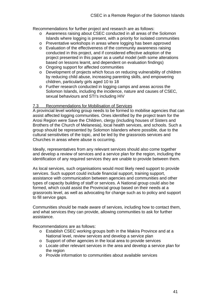<span id="page-42-0"></span>Recommendations for further project and research are as follows:

- o Awareness raising about CSEC conducted in all areas of the Solomon Islands where logging is present, with a priority for isolated communities
- o Preventative workshops in areas where logging has been approved
- o Evaluation of the effectiveness of the community awareness raising conducted in this project, and if considered effective adoption of the project presented in this paper as a useful model (with some alterations based on lessons learnt, and dependent on evaluation findings)
- o Ongoing support for affected communities
- o Development of projects which focus on reducing vulnerability of children by reducing child abuse, increasing parenting skills, and empowering children, particularly girls aged 10 to 18
- o Further research conducted in logging camps and areas across the Solomon Islands, including the incidence, nature and causes of CSEC, sexual behaviours and STI's including HIV

#### 7.3 Recommendations for Mobilisation of Services

A provincial level working group needs to be formed to mobilise agencies that can assist affected logging communities. Ones identified by the project team for the Arosi Region were Save the Children, clergy (including houses of Sisters and Brothers of the Church of Melanesia), local health services, and schools. Such a group should be represented by Solomon Islanders where possible, due to the cultural sensitivities of the topic, and be led by the grassroots services and Churches in areas where abuse is occurring.

Ideally, representatives from any relevant services should also come together and develop a review of services and a service plan for the region, including the identification of any required services they are unable to provide between them.

As local services, such organisations would most likely need support to provide services. Such support could include financial support, training support, assistance with communication between agencies and communities and other types of capacity building of staff or services. A National group could also be formed, which could assist the Provincial group based on their needs at a grassroots level, as well as advocating for change such as to policy and support to fill service gaps.

Communities should be made aware of services, including how to contact them, and what services they can provide, allowing communities to ask for further assistance.

Recommendations are as follows:

- o Establish CSEC working groups both in the Makira Province and at a National level, review services and develop a service plan
- o Support of other agencies in the local area to provide services
- o Locate other relevant services in the area and develop a service plan for the region
- o Provide information to communities about available services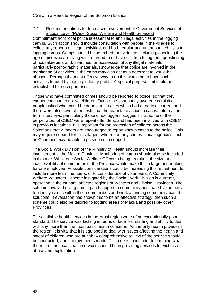#### <span id="page-43-0"></span>7.4 Recommendations for Increased Involvement of Government Services at a Local Level (Police, Social Welfare and Health Services)

Commitment from local police is essential to end illegal activities in the logging camps. Such action should include consultation with people in the villages to collect any reports of illegal activities, and both regular and unannounced visits to logging camps. Camps should be searched for evidence, including; checking the age of girls who are living with, married to or have children to loggers; questioning of housekeepers and; searches for possession of any illegal materials, particularly pornographic materials. Knowledge that police are involved in the monitoring of activities in the camp may also act as a deterrent to would-be abusers. Perhaps the most effective way to do this would be to have such activities funded by logging industry profits. A special purpose unit could be established for such purposes.

Those who have committed crimes should be reported to police, so that they cannot continue to abuse children. During the community awareness raising people asked what could be done about cases which had already occurred, and there were also several requests that the team take action in cases. Information from interviews, particularly those of ex-loggers, suggests that some of the perpetrators of CSEC were repeat offenders, and had been involved with CSEC in previous locations. It is important for the protection of children across the Solomons that villagers are encouraged to report known cases to the police. This may require support for the villagers who report any crimes. Local agencies such as Churches may be able to provide such support.

The Social Work Division of the Ministry of Health should increase their involvement in the Makira Province. Monitoring of camps should also be included in this role. While one Social Welfare Officer is being recruited, the size and inaccessibility of some areas of the Province would make this a large undertaking for one employee. Possible considerations could be increasing this recruitment to include more team members, or to consider use of volunteers. A Community Welfare Volunteer Scheme instigated by the Social Work Division is currently operating in the tsunami affected regions of Western and Choisel Provinces. The scheme involved giving training and support to community nominated volunteers to identify issues within their communities and work at finding community based solutions. If evaluation has shown this to be an affective strategy, then such a scheme could also be tailored to logging areas of Makira and possibly other Provinces.

The available health services in the Arosi region were of an exceptionally poor standard. The service was lacking in terms of facilities, staffing and ability to deal with any more than the most basic health concerns. As the only health provider in the region, it is vital that it is equipped to deal with issues affecting the health and safety of children who are at risk. A comprehensive review of the service should be conducted, and improvements made. This needs to include determining what the role of the local health services should be in providing services for victims of abuse and exploitation.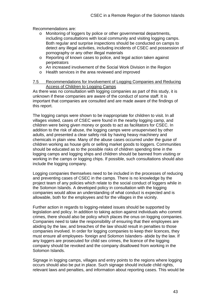<span id="page-44-0"></span>Recommendations are:

- o Monitoring of loggers by police or other governmental departments, including consultations with local community and visiting logging camps. Both regular and surprise inspections should be conducted on camps to detect any illegal activities, including incidents of CSEC and possession of pornography or any other illegal materials
- o Reporting of known cases to police, and legal action taken against perpetrators
- o An increased involvement of the Social Work Division in the Region
- o Health services in the area reviewed and improved

#### 7.5 Recommendations for Involvement of Logging Companies and Reducing Access of Children to Logging Camps

As there was no consultation with logging companies as part of this study, it is unknown if these companies are aware of the conduct of some staff. It is important that companies are consulted and are made aware of the findings of this report.

The logging camps were shown to be inappropriate for children to visit. In all villages visited, cases of CSEC were found in the nearby logging camp, and children were being given money or goods to act as facilitators for CSEC. In addition to the risk of abuse, the logging camps were unsupervised by other adults, and presented a clear safety risk by having heavy machinery and chemicals in plain view. Many of the abuse cases occurred under the guise of children working as house girls or selling market goods to loggers. Communities should be educated as to the possible risks of children spending time in the logging camps and logging ships and children should be banned from visiting or working in the camps or logging chips. If possible, such consultations should also include the logging company.

Logging companies themselves need to be included in the processes of reducing and preventing cases of CSEC in the camps. There is no knowledge by the project team of any policies which relate to the social conduct of loggers while in the Solomon Islands. A developed policy in consultation with the logging companies would allow an understanding of what conduct is expected and is allowable, both for the employees and for the villages in the vicinity.

Further action in regards to logging-related issues should be supported by legislation and policy. In addition to taking action against individuals who commit crimes, there should also be policy which places the onus on logging companies. Companies need to take the responsibility of ensuring that their employees are abiding by the law, and breaches of the law should result in penalties to those companies involved. In order for logging companies to keep their licences, they must ensure all employees- foreign and Solomon Islanders- abide by the law. If any loggers are prosecuted for child sex crimes, the licence of the logging company should be revoked and the company disallowed from working in the Solomon Islands.

Signage in logging camps, villages and entry points to the regions where logging occurs should also be put in place. Such signage should include child rights, relevant laws and penalties, and information about reporting cases. This would be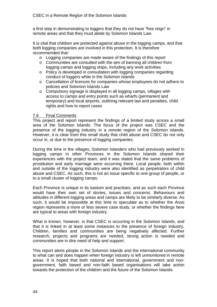<span id="page-45-0"></span>a first step in demonstrating to loggers that they do not have "free reign" in remote areas and that they must abide by Solomon Islands Law.

It is vital that children are protected against abuse in the logging camps, and that both logging companies are involved in this protection. It is therefore recommended that:

- o Logging companies are made aware of the findings of this report
- $\circ$  Communities are consulted with the aim of banning all children from logging camps and logging ships, including any work activities
- o Policy is developed in consultation with logging companies regarding conduct of loggers while in the Solomon Islands
- o Cancellation of licences for companies whose employees do not adhere to policies and Solomon Islands Law
- o Compulsory signage is displayed in all logging camps, villages with access to camps and entry points such as wharfs (permanent and temporary) and local airports, outlining relevant law and penalties, child rights and how to report cases

#### 7.6 Final Comments

This project and report represent the findings of a limited study across a small area of the Solomon Islands. The focus of the project was CSEC and the presence of the logging industry in a remote region of the Solomon Islands. However, it is clear from this small study that child abuse and CSEC do not only occur in, or due to the presence of logging companies.

During the time in the villages, Solomon Islanders who had previously worked in logging camps in other Provinces in the Solomon Islands shared their experiences with the project team, and it was stated that the same problems of prostitution and early marriage were occurring there. Local people, both within and outside of the logging industry were also identified as perpetrators of child abuse and CSEC. As such, this is not an issue specific to one group of people, or to a small cluster of logging camps.

Each Province is unique in its kastom and practises, and as such each Province would have their own set of stories, issues and concerns. Behaviours and attitudes in different logging areas and camps are likely to be similarly diverse. As such, it would be impossible at this time to speculate as to whether the Arosi region represents a more or less severe case study, or whether the findings here are typical to areas with foreign industry.

What is known, however, is that CSEC is occurring in the Solomon Islands, and that it is linked in at least some instances to the presence of foreign industry. Children, families and communities are being negatively affected. Further research, projects and programs are needed, strong action is needed and communities are in dire need of help and support.

This report alerts people in the Solomon Islands and the international community to what can and does happen when foreign industry is left unmonitored in remote areas. It is hoped that both national and international, government and nongovernment, faith based and non-faith based organisations will take action towards the protection of the children and the future of the Solomon Islands.